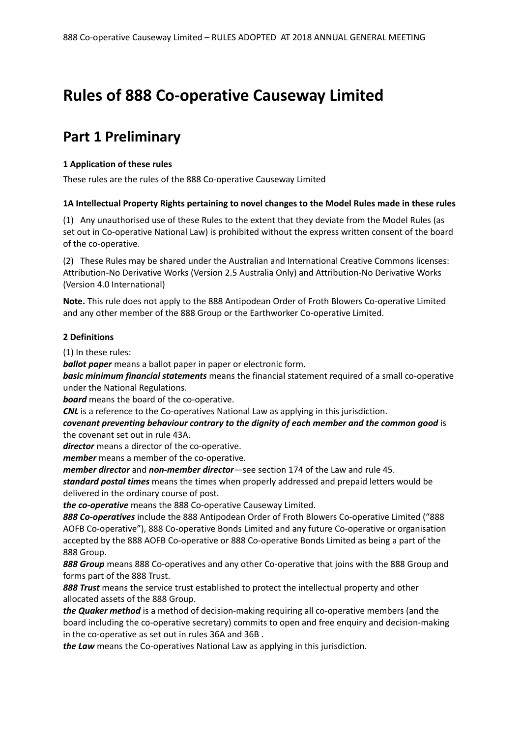# **Rules of 888 Co-operative Causeway Limited**

## **Part 1 Preliminary**

#### **1 Application of these rules**

These rules are the rules of the 888 Co-operative Causeway Limited

#### **1A Intellectual Property Rights pertaining to novel changes to the Model Rules made in these rules**

(1) Any unauthorised use of these Rules to the extent that they deviate from the Model Rules (as set out in Co-operative National Law) is prohibited without the express written consent of the board of the co-operative.

(2) These Rules may be shared under the Australian and International Creative Commons licenses: Attribution-No Derivative Works (Version 2.5 Australia Only) and Attribution-No Derivative Works (Version 4.0 International)

**Note.** This rule does not apply to the 888 Antipodean Order of Froth Blowers Co-operative Limited and any other member of the 888 Group or the Earthworker Co-operative Limited.

#### **2 Definitions**

(1) In these rules:

*ballot paper* means a ballot paper in paper or electronic form.

*basic minimum financial statements* means the financial statement required of a small co-operative under the National Regulations.

*board* means the board of the co-operative.

*CNL* is a reference to the Co-operatives National Law as applying in this jurisdiction.

*covenant preventing behaviour contrary to the dignity of each member and the common good* is the covenant set out in rule 43A.

*director* means a director of the co-operative.

*member* means a member of the co-operative.

*member director* and *non-member director*—see section 174 of the Law and rule 45.

*standard postal times* means the times when properly addressed and prepaid letters would be delivered in the ordinary course of post.

*the co-operative* means the 888 Co-operative Causeway Limited.

*888 Co-operatives* include the 888 Antipodean Order of Froth Blowers Co-operative Limited ("888 AOFB Co-operative"), 888 Co-operative Bonds Limited and any future Co-operative or organisation accepted by the 888 AOFB Co-operative or 888 Co-operative Bonds Limited as being a part of the 888 Group.

*888 Group* means 888 Co-operatives and any other Co-operative that joins with the 888 Group and forms part of the 888 Trust.

*888 Trust* means the service trust established to protect the intellectual property and other allocated assets of the 888 Group.

*the Quaker method* is a method of decision-making requiring all co-operative members (and the board including the co-operative secretary) commits to open and free enquiry and decision-making in the co-operative as set out in rules 36A and 36B .

*the Law* means the Co-operatives National Law as applying in this jurisdiction.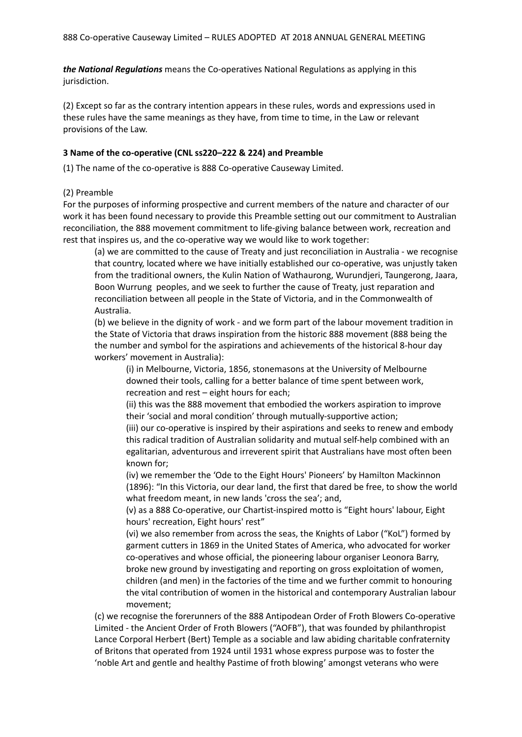*the National Regulations* means the Co-operatives National Regulations as applying in this jurisdiction.

(2) Except so far as the contrary intention appears in these rules, words and expressions used in these rules have the same meanings as they have, from time to time, in the Law or relevant provisions of the Law.

#### **3 Name of the co-operative (CNL ss220–222 & 224) and Preamble**

(1) The name of the co-operative is 888 Co-operative Causeway Limited.

#### (2) Preamble

For the purposes of informing prospective and current members of the nature and character of our work it has been found necessary to provide this Preamble setting out our commitment to Australian reconciliation, the 888 movement commitment to life-giving balance between work, recreation and rest that inspires us, and the co-operative way we would like to work together:

(a) we are committed to the cause of Treaty and just reconciliation in Australia - we recognise that country, located where we have initially established our co-operative, was unjustly taken from the traditional owners, the Kulin Nation of Wathaurong, Wurundjeri, Taungerong, Jaara, Boon Wurrung peoples, and we seek to further the cause of Treaty, just reparation and reconciliation between all people in the State of Victoria, and in the Commonwealth of Australia.

(b) we believe in the dignity of work - and we form part of the labour movement tradition in the State of Victoria that draws inspiration from the historic 888 movement (888 being the the number and symbol for the aspirations and achievements of the historical 8-hour day workers' movement in Australia):

(i) in Melbourne, Victoria, 1856, stonemasons at the University of Melbourne downed their tools, calling for a better balance of time spent between work, recreation and rest – eight hours for each;

(ii) this was the 888 movement that embodied the workers aspiration to improve their 'social and moral condition' through mutually-supportive action;

(iii) our co-operative is inspired by their aspirations and seeks to renew and embody this radical tradition of Australian solidarity and mutual self-help combined with an egalitarian, adventurous and irreverent spirit that Australians have most often been known for;

(iv) we remember the 'Ode to the Eight Hours' Pioneers' by Hamilton Mackinnon (1896): "In this Victoria, our dear land, the first that dared be free, to show the world what freedom meant, in new lands 'cross the sea'; and,

(v) as a 888 Co-operative, our Chartist-inspired motto is "Eight hours' labour, Eight hours' recreation, Eight hours' rest"

(vi) we also remember from across the seas, the Knights of Labor ("KoL") formed by garment cutters in 1869 in the United States of America, who advocated for worker co-operatives and whose official, the pioneering labour organiser Leonora Barry, broke new ground by investigating and reporting on gross exploitation of women, children (and men) in the factories of the time and we further commit to honouring the vital contribution of women in the historical and contemporary Australian labour movement;

(c) we recognise the forerunners of the 888 Antipodean Order of Froth Blowers Co-operative Limited - the Ancient Order of Froth Blowers ("AOFB"), that was founded by philanthropist Lance Corporal Herbert (Bert) Temple as a sociable and law abiding charitable confraternity of Britons that operated from 1924 until 1931 whose express purpose was to foster the 'noble Art and gentle and healthy Pastime of froth blowing' amongst veterans who were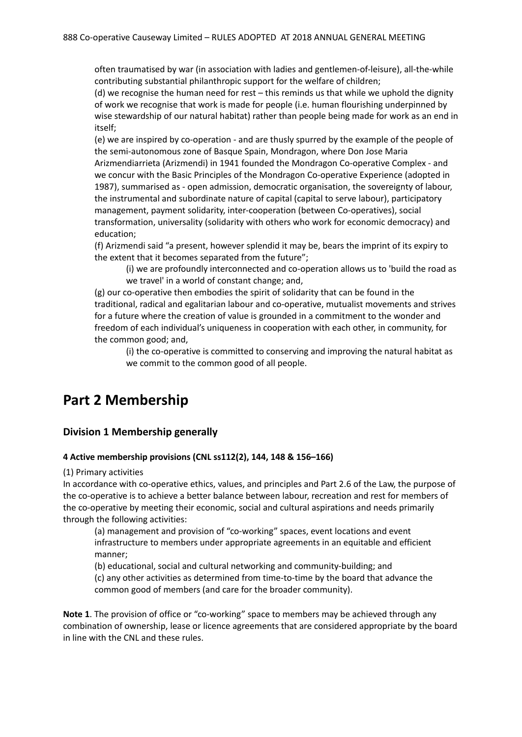often traumatised by war (in association with ladies and gentlemen-of-leisure), all-the-while contributing substantial philanthropic support for the welfare of children;

(d) we recognise the human need for rest – this reminds us that while we uphold the dignity of work we recognise that work is made for people (i.e. human flourishing underpinned by wise stewardship of our natural habitat) rather than people being made for work as an end in itself;

(e) we are inspired by co-operation - and are thusly spurred by the example of the people of the semi-autonomous zone of Basque Spain, Mondragon, where Don Jose Maria Arizmendiarrieta (Arizmendi) in 1941 founded the Mondragon Co-operative Complex - and we concur with the Basic Principles of the Mondragon Co-operative Experience (adopted in 1987), summarised as - open admission, democratic organisation, the sovereignty of labour, the instrumental and subordinate nature of capital (capital to serve labour), participatory management, payment solidarity, inter-cooperation (between Co-operatives), social transformation, universality (solidarity with others who work for economic democracy) and education;

(f) Arizmendi said "a present, however splendid it may be, bears the imprint of its expiry to the extent that it becomes separated from the future";

(i) we are profoundly interconnected and co-operation allows us to 'build the road as we travel' in a world of constant change; and,

(g) our co-operative then embodies the spirit of solidarity that can be found in the traditional, radical and egalitarian labour and co-operative, mutualist movements and strives for a future where the creation of value is grounded in a commitment to the wonder and freedom of each individual's uniqueness in cooperation with each other, in community, for the common good; and,

(i) the co-operative is committed to conserving and improving the natural habitat as we commit to the common good of all people.

## **Part 2 Membership**

### **Division 1 Membership generally**

#### **4 Active membership provisions (CNL ss112(2), 144, 148 & 156–166)**

(1) Primary activities

In accordance with co-operative ethics, values, and principles and Part 2.6 of the Law, the purpose of the co-operative is to achieve a better balance between labour, recreation and rest for members of the co-operative by meeting their economic, social and cultural aspirations and needs primarily through the following activities:

(a) management and provision of "co-working" spaces, event locations and event infrastructure to members under appropriate agreements in an equitable and efficient manner;

(b) educational, social and cultural networking and community-building; and (c) any other activities as determined from time-to-time by the board that advance the common good of members (and care for the broader community).

**Note 1**. The provision of office or "co-working" space to members may be achieved through any combination of ownership, lease or licence agreements that are considered appropriate by the board in line with the CNL and these rules.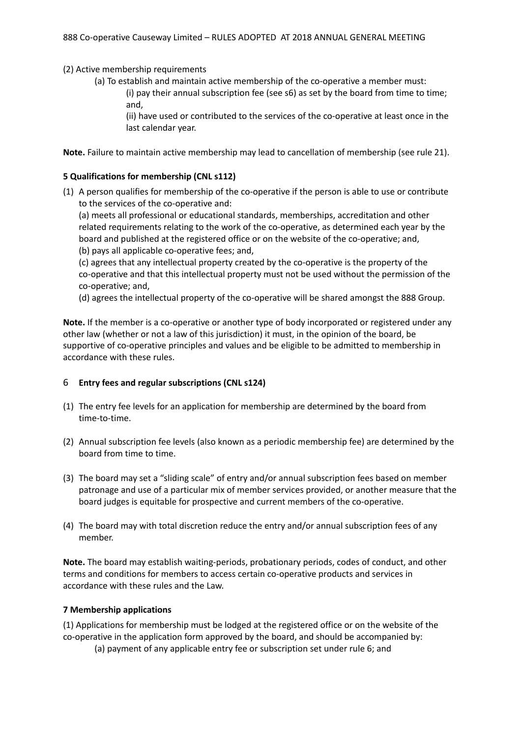(2) Active membership requirements

(a) To establish and maintain active membership of the co-operative a member must:

(i) pay their annual subscription fee (see s6) as set by the board from time to time; and,

(ii) have used or contributed to the services of the co-operative at least once in the last calendar year.

**Note.** Failure to maintain active membership may lead to cancellation of membership (see rule 21).

#### **5 Qualifications for membership (CNL s112)**

(1) A person qualifies for membership of the co-operative if the person is able to use or contribute to the services of the co-operative and:

(a) meets all professional or educational standards, memberships, accreditation and other related requirements relating to the work of the co-operative, as determined each year by the board and published at the registered office or on the website of the co-operative; and,

(b) pays all applicable co-operative fees; and,

(c) agrees that any intellectual property created by the co-operative is the property of the co-operative and that this intellectual property must not be used without the permission of the co-operative; and,

(d) agrees the intellectual property of the co-operative will be shared amongst the 888 Group.

**Note.** If the member is a co-operative or another type of body incorporated or registered under any other law (whether or not a law of this jurisdiction) it must, in the opinion of the board, be supportive of co-operative principles and values and be eligible to be admitted to membership in accordance with these rules.

#### 6 **Entry fees and regular subscriptions (CNL s124)**

- (1) The entry fee levels for an application for membership are determined by the board from time-to-time.
- (2) Annual subscription fee levels (also known as a periodic membership fee) are determined by the board from time to time.
- (3) The board may set a "sliding scale" of entry and/or annual subscription fees based on member patronage and use of a particular mix of member services provided, or another measure that the board judges is equitable for prospective and current members of the co-operative.
- (4) The board may with total discretion reduce the entry and/or annual subscription fees of any member.

**Note.** The board may establish waiting-periods, probationary periods, codes of conduct, and other terms and conditions for members to access certain co-operative products and services in accordance with these rules and the Law.

#### **7 Membership applications**

(1) Applications for membership must be lodged at the registered office or on the website of the co-operative in the application form approved by the board, and should be accompanied by:

(a) payment of any applicable entry fee or subscription set under rule 6; and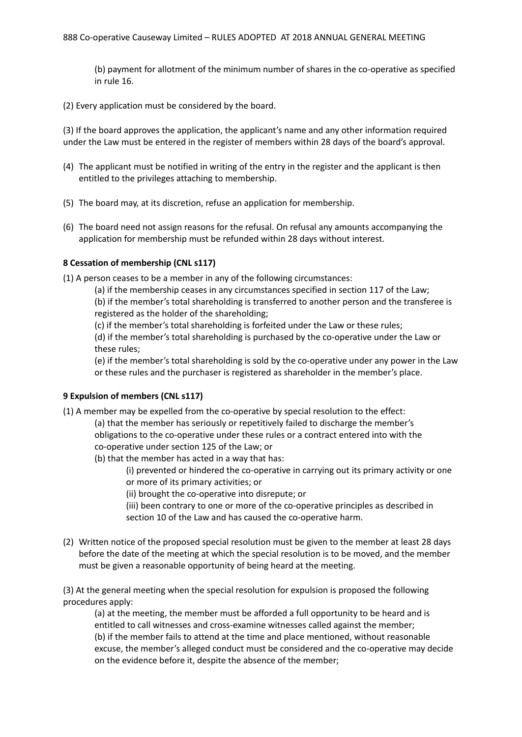(b) payment for allotment of the minimum number of shares in the co-operative as specified in rule 16.

(2) Every application must be considered by the board.

(3) If the board approves the application, the applicant's name and any other information required under the Law must be entered in the register of members within 28 days of the board's approval.

- (4) The applicant must be notified in writing of the entry in the register and the applicant is then entitled to the privileges attaching to membership.
- (5) The board may, at its discretion, refuse an application for membership.
- (6) The board need not assign reasons for the refusal. On refusal any amounts accompanying the application for membership must be refunded within 28 days without interest.

#### **8 Cessation of membership (CNL s117)**

(1) A person ceases to be a member in any of the following circumstances:

(a) if the membership ceases in any circumstances specified in section 117 of the Law;

(b) if the member's total shareholding is transferred to another person and the transferee is registered as the holder of the shareholding;

(c) if the member's total shareholding is forfeited under the Law or these rules;

(d) if the member's total shareholding is purchased by the co-operative under the Law or these rules;

(e) if the member's total shareholding is sold by the co-operative under any power in the Law or these rules and the purchaser is registered as shareholder in the member's place.

#### **9 Expulsion of members (CNL s117)**

- (1) A member may be expelled from the co-operative by special resolution to the effect:
	- (a) that the member has seriously or repetitively failed to discharge the member's obligations to the co-operative under these rules or a contract entered into with the co-operative under section 125 of the Law; or
	- (b) that the member has acted in a way that has:

(i) prevented or hindered the co-operative in carrying out its primary activity or one or more of its primary activities; or

- (ii) brought the co-operative into disrepute; or
- (iii) been contrary to one or more of the co-operative principles as described in section 10 of the Law and has caused the co-operative harm.
- (2) Written notice of the proposed special resolution must be given to the member at least 28 days before the date of the meeting at which the special resolution is to be moved, and the member must be given a reasonable opportunity of being heard at the meeting.

(3) At the general meeting when the special resolution for expulsion is proposed the following procedures apply:

(a) at the meeting, the member must be afforded a full opportunity to be heard and is entitled to call witnesses and cross-examine witnesses called against the member; (b) if the member fails to attend at the time and place mentioned, without reasonable excuse, the member's alleged conduct must be considered and the co-operative may decide on the evidence before it, despite the absence of the member;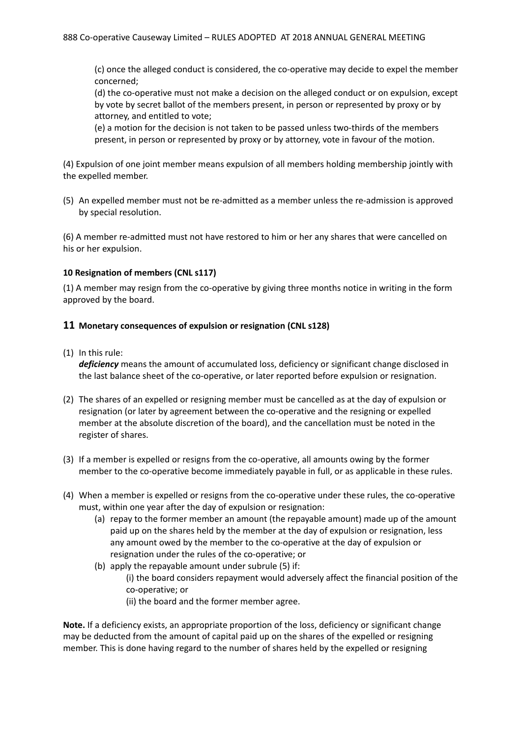(c) once the alleged conduct is considered, the co-operative may decide to expel the member concerned;

(d) the co-operative must not make a decision on the alleged conduct or on expulsion, except by vote by secret ballot of the members present, in person or represented by proxy or by attorney, and entitled to vote;

(e) a motion for the decision is not taken to be passed unless two-thirds of the members present, in person or represented by proxy or by attorney, vote in favour of the motion.

(4) Expulsion of one joint member means expulsion of all members holding membership jointly with the expelled member.

(5) An expelled member must not be re-admitted as a member unless the re-admission is approved by special resolution.

(6) A member re-admitted must not have restored to him or her any shares that were cancelled on his or her expulsion.

#### **10 Resignation of members (CNL s117)**

(1) A member may resign from the co-operative by giving three months notice in writing in the form approved by the board.

#### **11 Monetary consequences of expulsion or resignation (CNL s128)**

(1) In this rule:

*deficiency* means the amount of accumulated loss, deficiency or significant change disclosed in the last balance sheet of the co-operative, or later reported before expulsion or resignation.

- (2) The shares of an expelled or resigning member must be cancelled as at the day of expulsion or resignation (or later by agreement between the co-operative and the resigning or expelled member at the absolute discretion of the board), and the cancellation must be noted in the register of shares.
- (3) If a member is expelled or resigns from the co-operative, all amounts owing by the former member to the co-operative become immediately payable in full, or as applicable in these rules.
- (4) When a member is expelled or resigns from the co-operative under these rules, the co-operative must, within one year after the day of expulsion or resignation:
	- (a) repay to the former member an amount (the repayable amount) made up of the amount paid up on the shares held by the member at the day of expulsion or resignation, less any amount owed by the member to the co-operative at the day of expulsion or resignation under the rules of the co-operative; or
	- (b) apply the repayable amount under subrule (5) if: (i) the board considers repayment would adversely affect the financial position of the co-operative; or (ii) the board and the former member agree.

**Note.** If a deficiency exists, an appropriate proportion of the loss, deficiency or significant change may be deducted from the amount of capital paid up on the shares of the expelled or resigning member. This is done having regard to the number of shares held by the expelled or resigning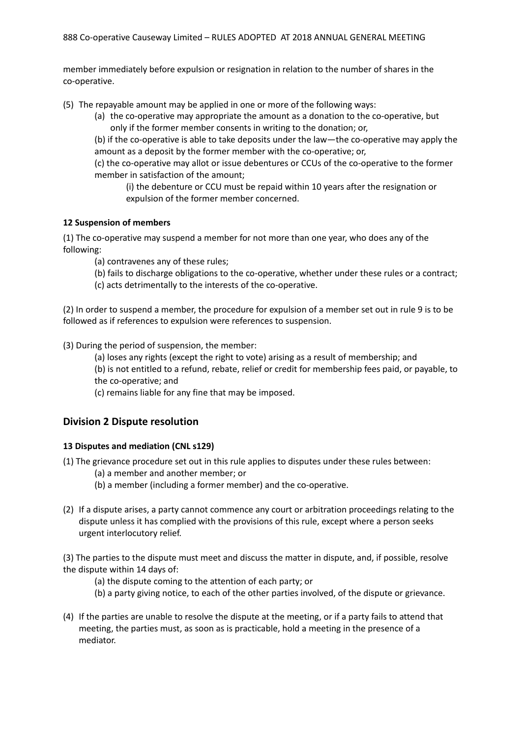member immediately before expulsion or resignation in relation to the number of shares in the co-operative.

(5) The repayable amount may be applied in one or more of the following ways:

(a) the co-operative may appropriate the amount as a donation to the co-operative, but only if the former member consents in writing to the donation; or,

(b) if the co-operative is able to take deposits under the law—the co-operative may apply the amount as a deposit by the former member with the co-operative; or,

(c) the co-operative may allot or issue debentures or CCUs of the co-operative to the former member in satisfaction of the amount;

(i) the debenture or CCU must be repaid within 10 years after the resignation or expulsion of the former member concerned.

#### **12 Suspension of members**

(1) The co-operative may suspend a member for not more than one year, who does any of the following:

(a) contravenes any of these rules;

- (b) fails to discharge obligations to the co-operative, whether under these rules or a contract;
- (c) acts detrimentally to the interests of the co-operative.

(2) In order to suspend a member, the procedure for expulsion of a member set out in rule 9 is to be followed as if references to expulsion were references to suspension.

(3) During the period of suspension, the member:

(a) loses any rights (except the right to vote) arising as a result of membership; and

(b) is not entitled to a refund, rebate, relief or credit for membership fees paid, or payable, to the co-operative; and

(c) remains liable for any fine that may be imposed.

### **Division 2 Dispute resolution**

#### **13 Disputes and mediation (CNL s129)**

(1) The grievance procedure set out in this rule applies to disputes under these rules between:

(a) a member and another member; or

- (b) a member (including a former member) and the co-operative.
- (2) If a dispute arises, a party cannot commence any court or arbitration proceedings relating to the dispute unless it has complied with the provisions of this rule, except where a person seeks urgent interlocutory relief.

(3) The parties to the dispute must meet and discuss the matter in dispute, and, if possible, resolve the dispute within 14 days of:

- (a) the dispute coming to the attention of each party; or
- (b) a party giving notice, to each of the other parties involved, of the dispute or grievance.
- (4) If the parties are unable to resolve the dispute at the meeting, or if a party fails to attend that meeting, the parties must, as soon as is practicable, hold a meeting in the presence of a mediator.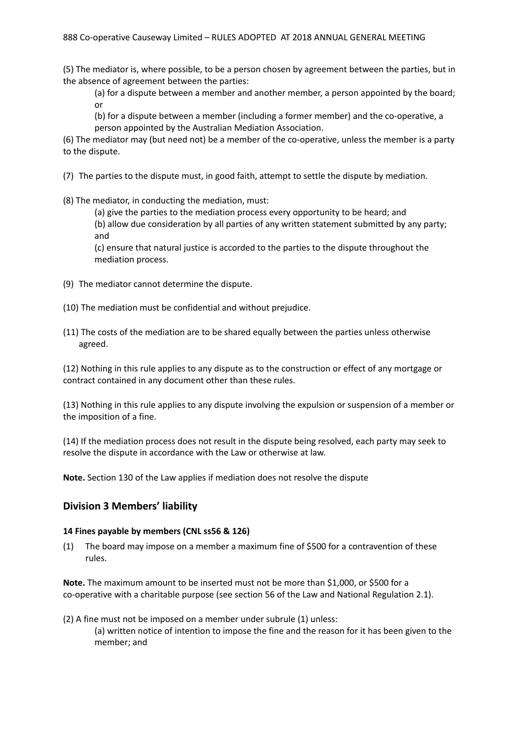(5) The mediator is, where possible, to be a person chosen by agreement between the parties, but in the absence of agreement between the parties:

(a) for a dispute between a member and another member, a person appointed by the board; or

(b) for a dispute between a member (including a former member) and the co-operative, a person appointed by the Australian Mediation Association.

(6) The mediator may (but need not) be a member of the co-operative, unless the member is a party to the dispute.

(7) The parties to the dispute must, in good faith, attempt to settle the dispute by mediation.

(8) The mediator, in conducting the mediation, must:

(a) give the parties to the mediation process every opportunity to be heard; and (b) allow due consideration by all parties of any written statement submitted by any party; and

(c) ensure that natural justice is accorded to the parties to the dispute throughout the mediation process.

- (9) The mediator cannot determine the dispute.
- (10) The mediation must be confidential and without prejudice.
- (11) The costs of the mediation are to be shared equally between the parties unless otherwise agreed.

(12) Nothing in this rule applies to any dispute as to the construction or effect of any mortgage or contract contained in any document other than these rules.

(13) Nothing in this rule applies to any dispute involving the expulsion or suspension of a member or the imposition of a fine.

(14) If the mediation process does not result in the dispute being resolved, each party may seek to resolve the dispute in accordance with the Law or otherwise at law.

**Note.** Section 130 of the Law applies if mediation does not resolve the dispute

### **Division 3 Members' liability**

### **14 Fines payable by members (CNL ss56 & 126)**

(1) The board may impose on a member a maximum fine of \$500 for a contravention of these rules.

**Note.** The maximum amount to be inserted must not be more than \$1,000, or \$500 for a co-operative with a charitable purpose (see section 56 of the Law and National Regulation 2.1).

(2) A fine must not be imposed on a member under subrule (1) unless: (a) written notice of intention to impose the fine and the reason for it has been given to the member; and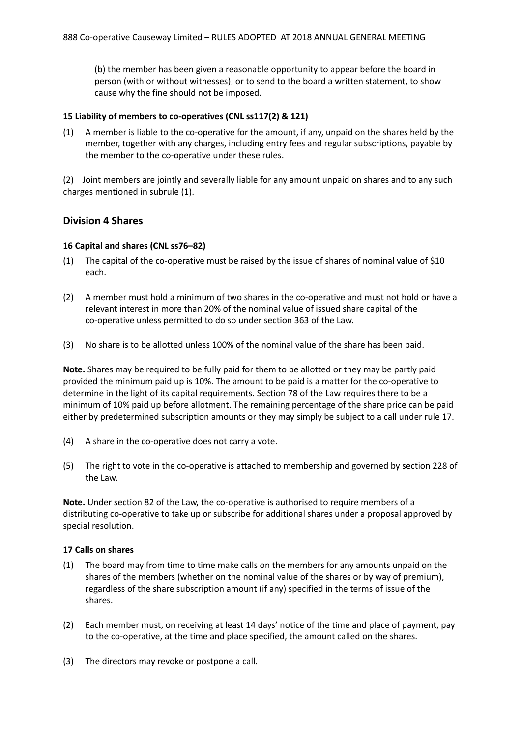(b) the member has been given a reasonable opportunity to appear before the board in person (with or without witnesses), or to send to the board a written statement, to show cause why the fine should not be imposed.

#### **15 Liability of members to co-operatives (CNL ss117(2) & 121)**

(1) A member is liable to the co-operative for the amount, if any, unpaid on the shares held by the member, together with any charges, including entry fees and regular subscriptions, payable by the member to the co-operative under these rules.

(2) Joint members are jointly and severally liable for any amount unpaid on shares and to any such charges mentioned in subrule (1).

### **Division 4 Shares**

#### **16 Capital and shares (CNL ss76–82)**

- (1) The capital of the co-operative must be raised by the issue of shares of nominal value of \$10 each.
- (2) A member must hold a minimum of two shares in the co-operative and must not hold or have a relevant interest in more than 20% of the nominal value of issued share capital of the co-operative unless permitted to do so under section 363 of the Law.
- (3) No share is to be allotted unless 100% of the nominal value of the share has been paid.

**Note.** Shares may be required to be fully paid for them to be allotted or they may be partly paid provided the minimum paid up is 10%. The amount to be paid is a matter for the co-operative to determine in the light of its capital requirements. Section 78 of the Law requires there to be a minimum of 10% paid up before allotment. The remaining percentage of the share price can be paid either by predetermined subscription amounts or they may simply be subject to a call under rule 17.

- (4) A share in the co-operative does not carry a vote.
- (5) The right to vote in the co-operative is attached to membership and governed by section 228 of the Law.

**Note.** Under section 82 of the Law, the co-operative is authorised to require members of a distributing co-operative to take up or subscribe for additional shares under a proposal approved by special resolution.

#### **17 Calls on shares**

- (1) The board may from time to time make calls on the members for any amounts unpaid on the shares of the members (whether on the nominal value of the shares or by way of premium), regardless of the share subscription amount (if any) specified in the terms of issue of the shares.
- (2) Each member must, on receiving at least 14 days' notice of the time and place of payment, pay to the co-operative, at the time and place specified, the amount called on the shares.
- (3) The directors may revoke or postpone a call.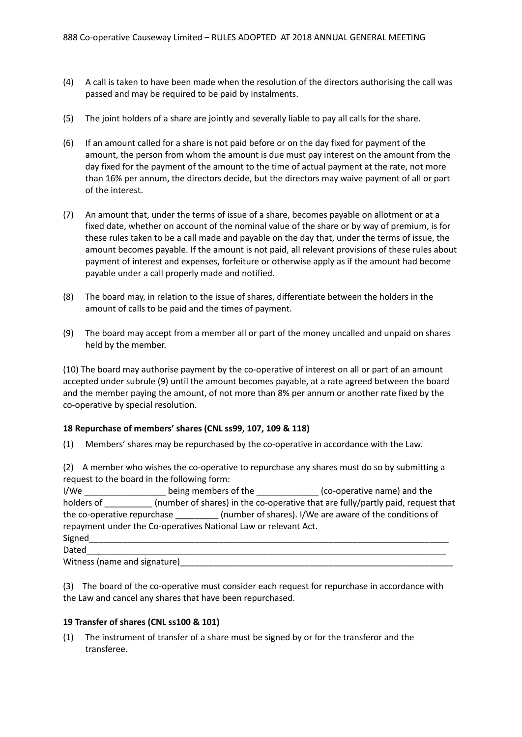- (4) A call is taken to have been made when the resolution of the directors authorising the call was passed and may be required to be paid by instalments.
- (5) The joint holders of a share are jointly and severally liable to pay all calls for the share.
- (6) If an amount called for a share is not paid before or on the day fixed for payment of the amount, the person from whom the amount is due must pay interest on the amount from the day fixed for the payment of the amount to the time of actual payment at the rate, not more than 16% per annum, the directors decide, but the directors may waive payment of all or part of the interest.
- (7) An amount that, under the terms of issue of a share, becomes payable on allotment or at a fixed date, whether on account of the nominal value of the share or by way of premium, is for these rules taken to be a call made and payable on the day that, under the terms of issue, the amount becomes payable. If the amount is not paid, all relevant provisions of these rules about payment of interest and expenses, forfeiture or otherwise apply as if the amount had become payable under a call properly made and notified.
- (8) The board may, in relation to the issue of shares, differentiate between the holders in the amount of calls to be paid and the times of payment.
- (9) The board may accept from a member all or part of the money uncalled and unpaid on shares held by the member.

(10) The board may authorise payment by the co-operative of interest on all or part of an amount accepted under subrule (9) until the amount becomes payable, at a rate agreed between the board and the member paying the amount, of not more than 8% per annum or another rate fixed by the co-operative by special resolution.

#### **18 Repurchase of members' shares (CNL ss99, 107, 109 & 118)**

(1) Members' shares may be repurchased by the co-operative in accordance with the Law.

(2) A member who wishes the co-operative to repurchase any shares must do so by submitting a request to the board in the following form:

| I/We                        | being members of the                                            | (co-operative name) and the                                                     |
|-----------------------------|-----------------------------------------------------------------|---------------------------------------------------------------------------------|
| holders of                  |                                                                 | (number of shares) in the co-operative that are fully/partly paid, request that |
| the co-operative repurchase |                                                                 | (number of shares). I/We are aware of the conditions of                         |
|                             | repayment under the Co-operatives National Law or relevant Act. |                                                                                 |
| Signed                      |                                                                 |                                                                                 |
| Dated                       |                                                                 |                                                                                 |

Witness (name and signature)

(3) The board of the co-operative must consider each request for repurchase in accordance with the Law and cancel any shares that have been repurchased.

#### **19 Transfer of shares (CNL ss100 & 101)**

(1) The instrument of transfer of a share must be signed by or for the transferor and the transferee.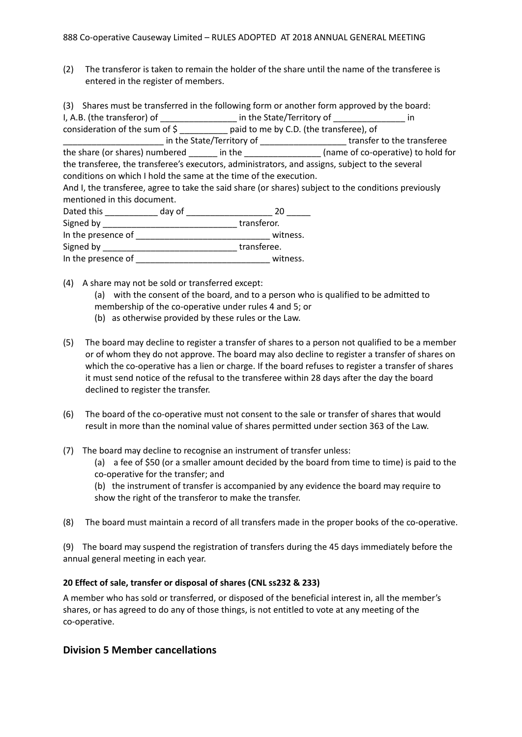(2) The transferor is taken to remain the holder of the share until the name of the transferee is entered in the register of members.

(3) Shares must be transferred in the following form or another form approved by the board: I, A.B. (the transferor) of \_\_\_\_\_\_\_\_\_\_\_\_\_\_\_\_\_\_\_ in the State/Territory of \_\_\_\_\_\_\_\_\_\_\_ consideration of the sum of \$ \_\_\_\_\_\_\_\_\_\_ paid to me by C.D. (the transferee), of \_\_\_\_\_\_\_\_\_\_\_\_\_\_\_\_\_\_\_\_\_ in the State/Territory of \_\_\_\_\_\_\_\_\_\_\_\_\_\_\_\_\_\_ transfer to the transferee the share (or shares) numbered \_\_\_\_\_\_ in the \_\_\_\_\_\_\_\_\_\_\_\_\_\_\_\_\_\_ (name of co-operative) to hold for the transferee, the transferee's executors, administrators, and assigns, subject to the several conditions on which I hold the same at the time of the execution. And I, the transferee, agree to take the said share (or shares) subject to the conditions previously mentioned in this document. Dated this \_\_\_\_\_\_\_\_\_\_\_\_\_\_ day of \_\_\_\_\_\_\_\_\_\_\_\_\_\_\_\_\_\_\_\_\_\_\_\_\_\_\_\_ 20 \_\_\_\_\_\_\_ Signed by \_\_\_\_\_\_\_\_\_\_\_\_\_\_\_\_\_\_\_\_\_\_\_\_\_\_\_\_ transferor. In the presence of  $\blacksquare$ Signed by **Example 2** transferee.

In the presence of  $\blacksquare$ 

- (4) A share may not be sold or transferred except:
	- (a) with the consent of the board, and to a person who is qualified to be admitted to
	- membership of the co-operative under rules 4 and 5; or
	- (b) as otherwise provided by these rules or the Law.
- (5) The board may decline to register a transfer of shares to a person not qualified to be a member or of whom they do not approve. The board may also decline to register a transfer of shares on which the co-operative has a lien or charge. If the board refuses to register a transfer of shares it must send notice of the refusal to the transferee within 28 days after the day the board declined to register the transfer.
- (6) The board of the co-operative must not consent to the sale or transfer of shares that would result in more than the nominal value of shares permitted under section 363 of the Law.
- (7) The board may decline to recognise an instrument of transfer unless:

(a) a fee of \$50 (or a smaller amount decided by the board from time to time) is paid to the co-operative for the transfer; and

(b) the instrument of transfer is accompanied by any evidence the board may require to show the right of the transferor to make the transfer.

(8) The board must maintain a record of all transfers made in the proper books of the co-operative.

(9) The board may suspend the registration of transfers during the 45 days immediately before the annual general meeting in each year.

#### **20 Effect of sale, transfer or disposal of shares (CNL ss232 & 233)**

A member who has sold or transferred, or disposed of the beneficial interest in, all the member's shares, or has agreed to do any of those things, is not entitled to vote at any meeting of the co-operative.

### **Division 5 Member cancellations**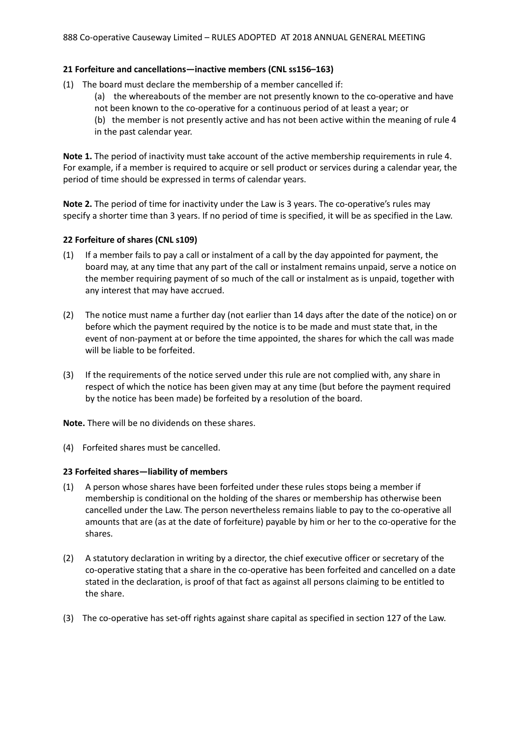#### **21 Forfeiture and cancellations—inactive members (CNL ss156–163)**

- (1) The board must declare the membership of a member cancelled if:
	- (a) the whereabouts of the member are not presently known to the co-operative and have
	- not been known to the co-operative for a continuous period of at least a year; or
	- (b) the member is not presently active and has not been active within the meaning of rule 4 in the past calendar year.

**Note 1.** The period of inactivity must take account of the active membership requirements in rule 4. For example, if a member is required to acquire or sell product or services during a calendar year, the period of time should be expressed in terms of calendar years.

**Note 2.** The period of time for inactivity under the Law is 3 years. The co-operative's rules may specify a shorter time than 3 years. If no period of time is specified, it will be as specified in the Law.

#### **22 Forfeiture of shares (CNL s109)**

- (1) If a member fails to pay a call or instalment of a call by the day appointed for payment, the board may, at any time that any part of the call or instalment remains unpaid, serve a notice on the member requiring payment of so much of the call or instalment as is unpaid, together with any interest that may have accrued.
- (2) The notice must name a further day (not earlier than 14 days after the date of the notice) on or before which the payment required by the notice is to be made and must state that, in the event of non-payment at or before the time appointed, the shares for which the call was made will be liable to be forfeited.
- (3) If the requirements of the notice served under this rule are not complied with, any share in respect of which the notice has been given may at any time (but before the payment required by the notice has been made) be forfeited by a resolution of the board.

**Note.** There will be no dividends on these shares.

(4) Forfeited shares must be cancelled.

#### **23 Forfeited shares—liability of members**

- (1) A person whose shares have been forfeited under these rules stops being a member if membership is conditional on the holding of the shares or membership has otherwise been cancelled under the Law. The person nevertheless remains liable to pay to the co-operative all amounts that are (as at the date of forfeiture) payable by him or her to the co-operative for the shares.
- (2) A statutory declaration in writing by a director, the chief executive officer or secretary of the co-operative stating that a share in the co-operative has been forfeited and cancelled on a date stated in the declaration, is proof of that fact as against all persons claiming to be entitled to the share.
- (3) The co-operative has set-off rights against share capital as specified in section 127 of the Law.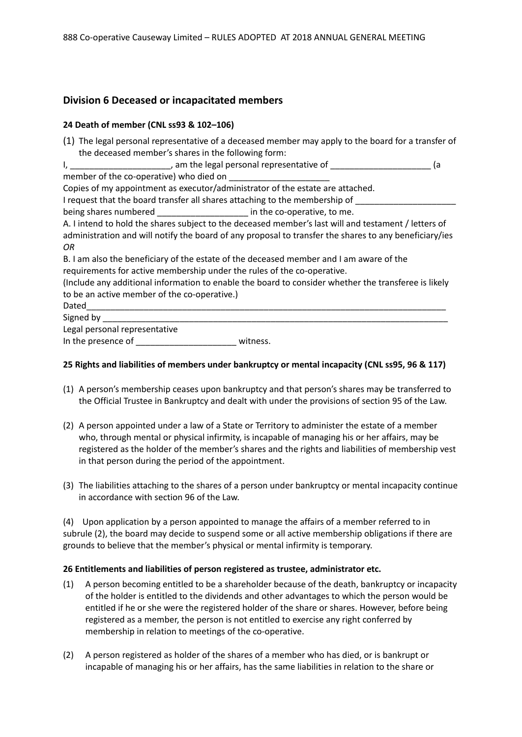## **Division 6 Deceased or incapacitated members**

#### **24 Death of member (CNL ss93 & 102–106)**

|                                                                                | (1) The legal personal representative of a deceased member may apply to the board for a transfer of    |  |
|--------------------------------------------------------------------------------|--------------------------------------------------------------------------------------------------------|--|
| the deceased member's shares in the following form:                            |                                                                                                        |  |
|                                                                                | (a                                                                                                     |  |
| member of the co-operative) who died on                                        |                                                                                                        |  |
| Copies of my appointment as executor/administrator of the estate are attached. |                                                                                                        |  |
| I request that the board transfer all shares attaching to the membership of    |                                                                                                        |  |
| being shares numbered _____________________ in the co-operative, to me.        |                                                                                                        |  |
|                                                                                | A. I intend to hold the shares subject to the deceased member's last will and testament / letters of   |  |
|                                                                                | administration and will notify the board of any proposal to transfer the shares to any beneficiary/ies |  |
| OR.                                                                            |                                                                                                        |  |
|                                                                                | B. I am also the beneficiary of the estate of the deceased member and I am aware of the                |  |
| requirements for active membership under the rules of the co-operative.        |                                                                                                        |  |
|                                                                                | (Include any additional information to enable the board to consider whether the transferee is likely   |  |
| to be an active member of the co-operative.)                                   |                                                                                                        |  |
|                                                                                |                                                                                                        |  |
| Signed by Signed Signed By                                                     |                                                                                                        |  |
| Legal personal representative                                                  |                                                                                                        |  |
|                                                                                | witness.                                                                                               |  |

#### **25 Rights and liabilities of members under bankruptcy or mental incapacity (CNL ss95, 96 & 117)**

- (1) A person's membership ceases upon bankruptcy and that person's shares may be transferred to the Official Trustee in Bankruptcy and dealt with under the provisions of section 95 of the Law.
- (2) A person appointed under a law of a State or Territory to administer the estate of a member who, through mental or physical infirmity, is incapable of managing his or her affairs, may be registered as the holder of the member's shares and the rights and liabilities of membership vest in that person during the period of the appointment.
- (3) The liabilities attaching to the shares of a person under bankruptcy or mental incapacity continue in accordance with section 96 of the Law.

(4) Upon application by a person appointed to manage the affairs of a member referred to in subrule (2), the board may decide to suspend some or all active membership obligations if there are grounds to believe that the member's physical or mental infirmity is temporary.

#### **26 Entitlements and liabilities of person registered as trustee, administrator etc.**

- (1) A person becoming entitled to be a shareholder because of the death, bankruptcy or incapacity of the holder is entitled to the dividends and other advantages to which the person would be entitled if he or she were the registered holder of the share or shares. However, before being registered as a member, the person is not entitled to exercise any right conferred by membership in relation to meetings of the co-operative.
- (2) A person registered as holder of the shares of a member who has died, or is bankrupt or incapable of managing his or her affairs, has the same liabilities in relation to the share or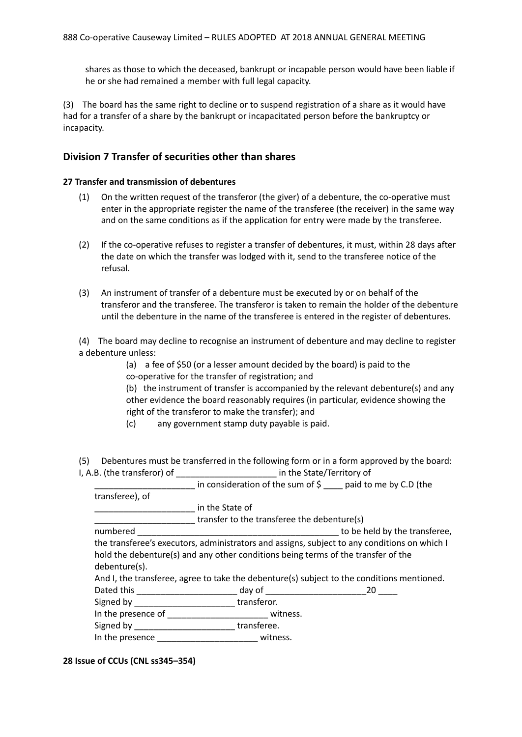shares as those to which the deceased, bankrupt or incapable person would have been liable if he or she had remained a member with full legal capacity.

(3) The board has the same right to decline or to suspend registration of a share as it would have had for a transfer of a share by the bankrupt or incapacitated person before the bankruptcy or incapacity.

### **Division 7 Transfer of securities other than shares**

#### **27 Transfer and transmission of debentures**

- (1) On the written request of the transferor (the giver) of a debenture, the co-operative must enter in the appropriate register the name of the transferee (the receiver) in the same way and on the same conditions as if the application for entry were made by the transferee.
- (2) If the co-operative refuses to register a transfer of debentures, it must, within 28 days after the date on which the transfer was lodged with it, send to the transferee notice of the refusal.
- (3) An instrument of transfer of a debenture must be executed by or on behalf of the transferor and the transferee. The transferor is taken to remain the holder of the debenture until the debenture in the name of the transferee is entered in the register of debentures.

(4) The board may decline to recognise an instrument of debenture and may decline to register a debenture unless:

> (a) a fee of \$50 (or a lesser amount decided by the board) is paid to the co-operative for the transfer of registration; and

(b) the instrument of transfer is accompanied by the relevant debenture(s) and any other evidence the board reasonably requires (in particular, evidence showing the right of the transferor to make the transfer); and

(c) any government stamp duty payable is paid.

(5) Debentures must be transferred in the following form or in a form approved by the board: I, A.B. (the transferor) of \_\_\_\_\_\_\_\_\_\_\_\_\_\_\_\_\_\_\_\_\_ in the State/Territory of

| ייט ניטופונומים (ו | $\mathbf{u}$ and $\mathbf{u}$ are state for the state of $\mathbf{v}$                        |                               |  |  |
|--------------------|----------------------------------------------------------------------------------------------|-------------------------------|--|--|
|                    | in consideration of the sum of $\frac{1}{2}$ paid to me by C.D (the                          |                               |  |  |
| transferee), of    |                                                                                              |                               |  |  |
|                    | in the State of                                                                              |                               |  |  |
|                    | transfer to the transferee the debenture(s)                                                  |                               |  |  |
| numbered           |                                                                                              | to be held by the transferee, |  |  |
|                    | the transferee's executors, administrators and assigns, subject to any conditions on which I |                               |  |  |
|                    | hold the debenture(s) and any other conditions being terms of the transfer of the            |                               |  |  |
| debenture(s).      |                                                                                              |                               |  |  |
|                    | And I, the transferee, agree to take the debenture(s) subject to the conditions mentioned.   |                               |  |  |
|                    | Dated this _______________________________ day of _______________________________20 ___      |                               |  |  |
|                    | Signed by transferor.                                                                        |                               |  |  |
|                    |                                                                                              |                               |  |  |
| Cianod bu          | $+$ $    -$                                                                                  |                               |  |  |

Signed by \_\_\_\_\_\_\_\_\_\_\_\_\_\_\_\_\_\_\_\_\_\_\_\_\_\_\_\_\_transferee. In the presence \_\_\_\_\_\_\_\_\_\_\_\_\_\_\_\_\_\_\_\_\_ witness.

#### **28 Issue of CCUs (CNL ss345–354)**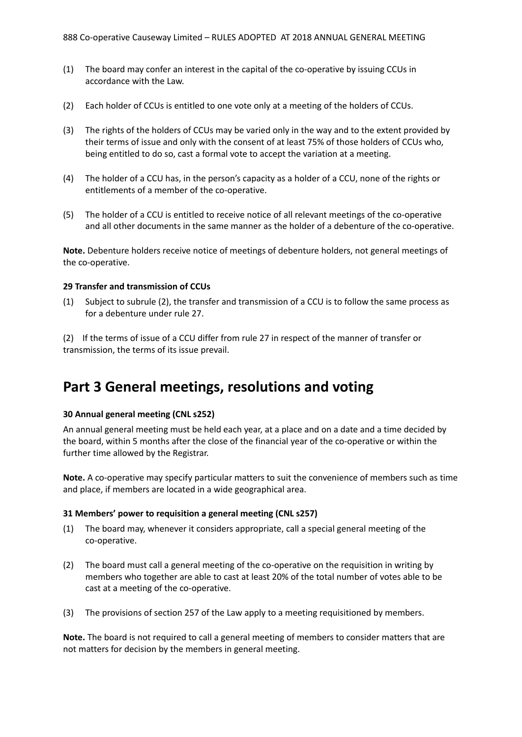- (1) The board may confer an interest in the capital of the co-operative by issuing CCUs in accordance with the Law.
- (2) Each holder of CCUs is entitled to one vote only at a meeting of the holders of CCUs.
- (3) The rights of the holders of CCUs may be varied only in the way and to the extent provided by their terms of issue and only with the consent of at least 75% of those holders of CCUs who, being entitled to do so, cast a formal vote to accept the variation at a meeting.
- (4) The holder of a CCU has, in the person's capacity as a holder of a CCU, none of the rights or entitlements of a member of the co-operative.
- (5) The holder of a CCU is entitled to receive notice of all relevant meetings of the co-operative and all other documents in the same manner as the holder of a debenture of the co-operative.

**Note.** Debenture holders receive notice of meetings of debenture holders, not general meetings of the co-operative.

#### **29 Transfer and transmission of CCUs**

(1) Subject to subrule (2), the transfer and transmission of a CCU is to follow the same process as for a debenture under rule 27.

(2) If the terms of issue of a CCU differ from rule 27 in respect of the manner of transfer or transmission, the terms of its issue prevail.

## **Part 3 General meetings, resolutions and voting**

#### **30 Annual general meeting (CNL s252)**

An annual general meeting must be held each year, at a place and on a date and a time decided by the board, within 5 months after the close of the financial year of the co-operative or within the further time allowed by the Registrar.

**Note.** A co-operative may specify particular matters to suit the convenience of members such as time and place, if members are located in a wide geographical area.

#### **31 Members' power to requisition a general meeting (CNL s257)**

- (1) The board may, whenever it considers appropriate, call a special general meeting of the co-operative.
- (2) The board must call a general meeting of the co-operative on the requisition in writing by members who together are able to cast at least 20% of the total number of votes able to be cast at a meeting of the co-operative.
- (3) The provisions of section 257 of the Law apply to a meeting requisitioned by members.

**Note.** The board is not required to call a general meeting of members to consider matters that are not matters for decision by the members in general meeting.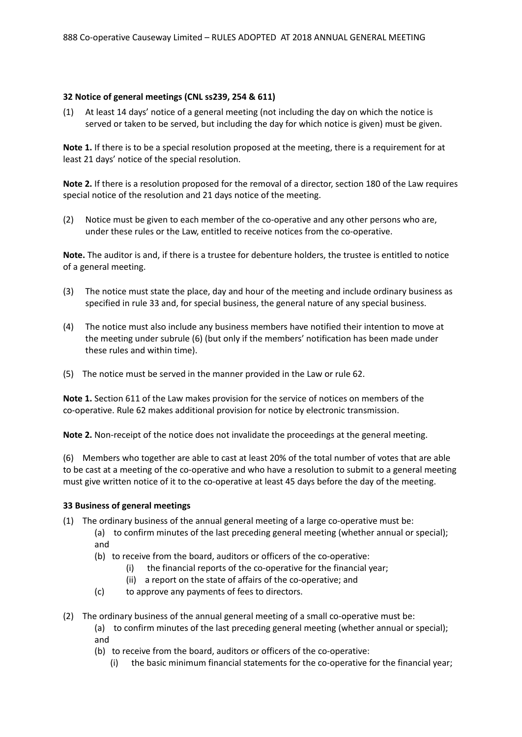#### **32 Notice of general meetings (CNL ss239, 254 & 611)**

(1) At least 14 days' notice of a general meeting (not including the day on which the notice is served or taken to be served, but including the day for which notice is given) must be given.

**Note 1.** If there is to be a special resolution proposed at the meeting, there is a requirement for at least 21 days' notice of the special resolution.

**Note 2.** If there is a resolution proposed for the removal of a director, section 180 of the Law requires special notice of the resolution and 21 days notice of the meeting.

(2) Notice must be given to each member of the co-operative and any other persons who are, under these rules or the Law, entitled to receive notices from the co-operative.

**Note.** The auditor is and, if there is a trustee for debenture holders, the trustee is entitled to notice of a general meeting.

- (3) The notice must state the place, day and hour of the meeting and include ordinary business as specified in rule 33 and, for special business, the general nature of any special business.
- (4) The notice must also include any business members have notified their intention to move at the meeting under subrule (6) (but only if the members' notification has been made under these rules and within time).
- (5) The notice must be served in the manner provided in the Law or rule 62.

**Note 1.** Section 611 of the Law makes provision for the service of notices on members of the co-operative. Rule 62 makes additional provision for notice by electronic transmission.

**Note 2.** Non-receipt of the notice does not invalidate the proceedings at the general meeting.

(6) Members who together are able to cast at least 20% of the total number of votes that are able to be cast at a meeting of the co-operative and who have a resolution to submit to a general meeting must give written notice of it to the co-operative at least 45 days before the day of the meeting.

#### **33 Business of general meetings**

- (1) The ordinary business of the annual general meeting of a large co-operative must be:
	- (a) to confirm minutes of the last preceding general meeting (whether annual or special); and
		- (b) to receive from the board, auditors or officers of the co-operative:
			- (i) the financial reports of the co-operative for the financial year;
			- (ii) a report on the state of affairs of the co-operative; and
		- (c) to approve any payments of fees to directors.
- (2) The ordinary business of the annual general meeting of a small co-operative must be:
	- (a) to confirm minutes of the last preceding general meeting (whether annual or special); and
	- (b) to receive from the board, auditors or officers of the co-operative:
		- (i) the basic minimum financial statements for the co-operative for the financial year;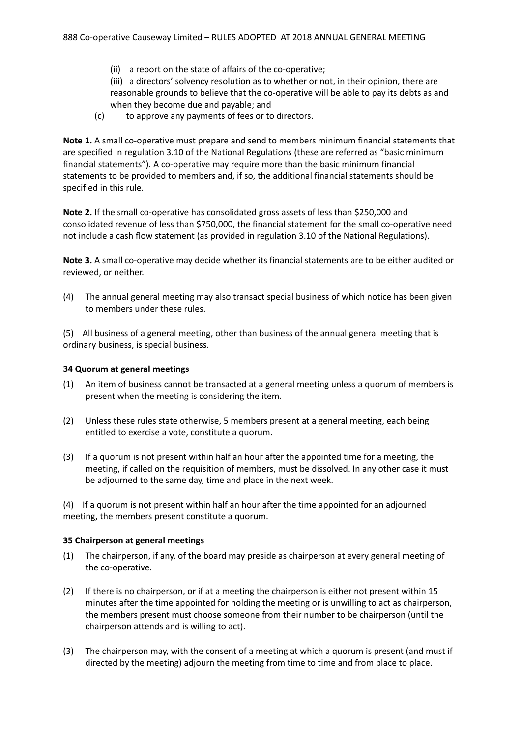(ii) a report on the state of affairs of the co-operative;

(iii) a directors' solvency resolution as to whether or not, in their opinion, there are reasonable grounds to believe that the co-operative will be able to pay its debts as and when they become due and payable; and

(c) to approve any payments of fees or to directors.

**Note 1.** A small co-operative must prepare and send to members minimum financial statements that are specified in regulation 3.10 of the National Regulations (these are referred as "basic minimum financial statements"). A co-operative may require more than the basic minimum financial statements to be provided to members and, if so, the additional financial statements should be specified in this rule.

**Note 2.** If the small co-operative has consolidated gross assets of less than \$250,000 and consolidated revenue of less than \$750,000, the financial statement for the small co-operative need not include a cash flow statement (as provided in regulation 3.10 of the National Regulations).

**Note 3.** A small co-operative may decide whether its financial statements are to be either audited or reviewed, or neither.

(4) The annual general meeting may also transact special business of which notice has been given to members under these rules.

(5) All business of a general meeting, other than business of the annual general meeting that is ordinary business, is special business.

#### **34 Quorum at general meetings**

- (1) An item of business cannot be transacted at a general meeting unless a quorum of members is present when the meeting is considering the item.
- (2) Unless these rules state otherwise, 5 members present at a general meeting, each being entitled to exercise a vote, constitute a quorum.
- (3) If a quorum is not present within half an hour after the appointed time for a meeting, the meeting, if called on the requisition of members, must be dissolved. In any other case it must be adjourned to the same day, time and place in the next week.

(4) If a quorum is not present within half an hour after the time appointed for an adjourned meeting, the members present constitute a quorum.

#### **35 Chairperson at general meetings**

- (1) The chairperson, if any, of the board may preside as chairperson at every general meeting of the co-operative.
- (2) If there is no chairperson, or if at a meeting the chairperson is either not present within 15 minutes after the time appointed for holding the meeting or is unwilling to act as chairperson, the members present must choose someone from their number to be chairperson (until the chairperson attends and is willing to act).
- (3) The chairperson may, with the consent of a meeting at which a quorum is present (and must if directed by the meeting) adjourn the meeting from time to time and from place to place.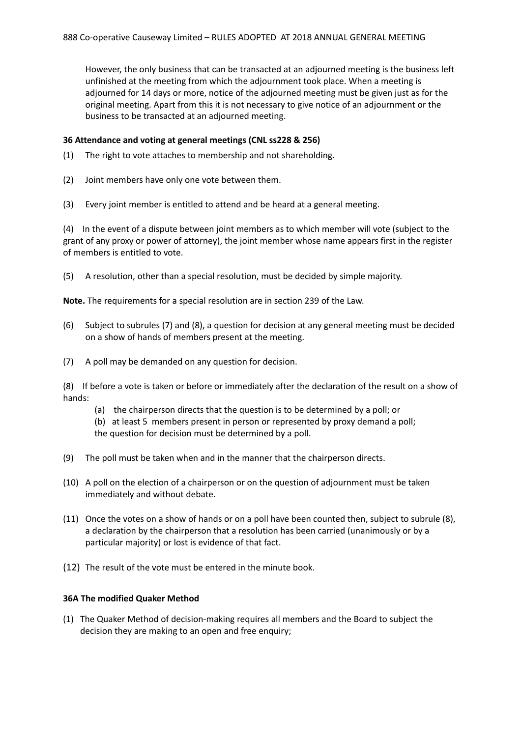However, the only business that can be transacted at an adjourned meeting is the business left unfinished at the meeting from which the adjournment took place. When a meeting is adjourned for 14 days or more, notice of the adjourned meeting must be given just as for the original meeting. Apart from this it is not necessary to give notice of an adjournment or the business to be transacted at an adjourned meeting.

#### **36 Attendance and voting at general meetings (CNL ss228 & 256)**

- (1) The right to vote attaches to membership and not shareholding.
- (2) Joint members have only one vote between them.
- (3) Every joint member is entitled to attend and be heard at a general meeting.

(4) In the event of a dispute between joint members as to which member will vote (subject to the grant of any proxy or power of attorney), the joint member whose name appears first in the register of members is entitled to vote.

(5) A resolution, other than a special resolution, must be decided by simple majority.

**Note.** The requirements for a special resolution are in section 239 of the Law.

- (6) Subject to subrules (7) and (8), a question for decision at any general meeting must be decided on a show of hands of members present at the meeting.
- (7) A poll may be demanded on any question for decision.

(8) If before a vote is taken or before or immediately after the declaration of the result on a show of hands:

- (a) the chairperson directs that the question is to be determined by a poll; or
- (b) at least 5 members present in person or represented by proxy demand a poll;
- the question for decision must be determined by a poll.
- (9) The poll must be taken when and in the manner that the chairperson directs.
- (10) A poll on the election of a chairperson or on the question of adjournment must be taken immediately and without debate.
- (11) Once the votes on a show of hands or on a poll have been counted then, subject to subrule (8), a declaration by the chairperson that a resolution has been carried (unanimously or by a particular majority) or lost is evidence of that fact.
- (12) The result of the vote must be entered in the minute book.

#### **36A The modified Quaker Method**

(1) The Quaker Method of decision-making requires all members and the Board to subject the decision they are making to an open and free enquiry;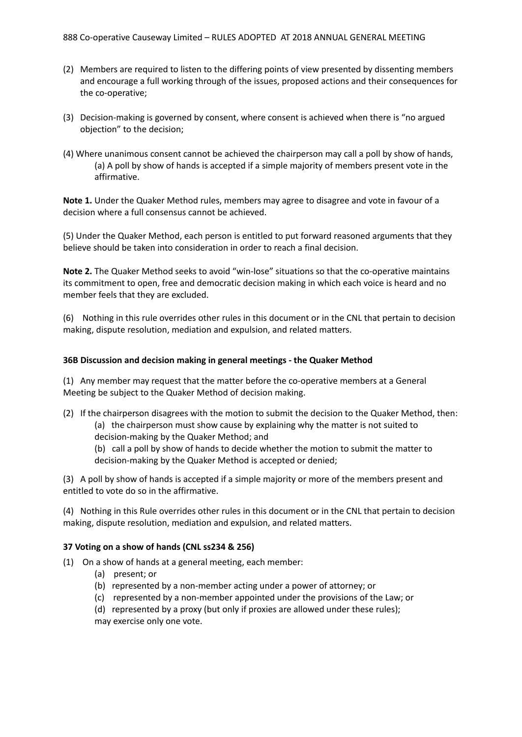- (2) Members are required to listen to the differing points of view presented by dissenting members and encourage a full working through of the issues, proposed actions and their consequences for the co-operative;
- (3) Decision-making is governed by consent, where consent is achieved when there is "no argued objection" to the decision;
- (4) Where unanimous consent cannot be achieved the chairperson may call a poll by show of hands, (a) A poll by show of hands is accepted if a simple majority of members present vote in the affirmative.

**Note 1.** Under the Quaker Method rules, members may agree to disagree and vote in favour of a decision where a full consensus cannot be achieved.

(5) Under the Quaker Method, each person is entitled to put forward reasoned arguments that they believe should be taken into consideration in order to reach a final decision.

**Note 2.** The Quaker Method seeks to avoid "win-lose" situations so that the co-operative maintains its commitment to open, free and democratic decision making in which each voice is heard and no member feels that they are excluded.

(6) Nothing in this rule overrides other rules in this document or in the CNL that pertain to decision making, dispute resolution, mediation and expulsion, and related matters.

#### **36B Discussion and decision making in general meetings - the Quaker Method**

(1) Any member may request that the matter before the co-operative members at a General Meeting be subject to the Quaker Method of decision making.

- (2) If the chairperson disagrees with the motion to submit the decision to the Quaker Method, then: (a) the chairperson must show cause by explaining why the matter is not suited to decision-making by the Quaker Method; and
	- (b) call a poll by show of hands to decide whether the motion to submit the matter to decision-making by the Quaker Method is accepted or denied;

(3) A poll by show of hands is accepted if a simple majority or more of the members present and entitled to vote do so in the affirmative.

(4) Nothing in this Rule overrides other rules in this document or in the CNL that pertain to decision making, dispute resolution, mediation and expulsion, and related matters.

#### **37 Voting on a show of hands (CNL ss234 & 256)**

- (1) On a show of hands at a general meeting, each member:
	- (a) present; or
	- (b) represented by a non-member acting under a power of attorney; or
	- (c) represented by a non-member appointed under the provisions of the Law; or
	- (d) represented by a proxy (but only if proxies are allowed under these rules); may exercise only one vote.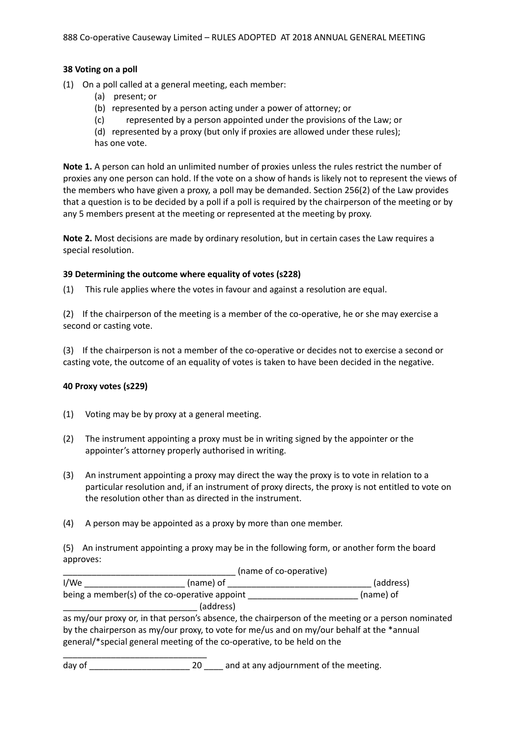#### **38 Voting on a poll**

- (1) On a poll called at a general meeting, each member:
	- (a) present; or
	- (b) represented by a person acting under a power of attorney; or
	- (c) represented by a person appointed under the provisions of the Law; or
	- (d) represented by a proxy (but only if proxies are allowed under these rules);

has one vote.

**Note 1.** A person can hold an unlimited number of proxies unless the rules restrict the number of proxies any one person can hold. If the vote on a show of hands is likely not to represent the views of the members who have given a proxy, a poll may be demanded. Section 256(2) of the Law provides that a question is to be decided by a poll if a poll is required by the chairperson of the meeting or by any 5 members present at the meeting or represented at the meeting by proxy.

**Note 2.** Most decisions are made by ordinary resolution, but in certain cases the Law requires a special resolution.

#### **39 Determining the outcome where equality of votes (s228)**

(1) This rule applies where the votes in favour and against a resolution are equal.

(2) If the chairperson of the meeting is a member of the co-operative, he or she may exercise a second or casting vote.

(3) If the chairperson is not a member of the co-operative or decides not to exercise a second or casting vote, the outcome of an equality of votes is taken to have been decided in the negative.

#### **40 Proxy votes (s229)**

- (1) Voting may be by proxy at a general meeting.
- (2) The instrument appointing a proxy must be in writing signed by the appointer or the appointer's attorney properly authorised in writing.
- (3) An instrument appointing a proxy may direct the way the proxy is to vote in relation to a particular resolution and, if an instrument of proxy directs, the proxy is not entitled to vote on the resolution other than as directed in the instrument.
- (4) A person may be appointed as a proxy by more than one member.

(5) An instrument appointing a proxy may be in the following form, or another form the board approves:

|                                               | (name of co-operative) |           |
|-----------------------------------------------|------------------------|-----------|
| I/We                                          | (name) of              | (address) |
| being a member(s) of the co-operative appoint |                        | (name) of |
|                                               | (address)              |           |

as my/our proxy or, in that person's absence, the chairperson of the meeting or a person nominated by the chairperson as my/our proxy, to vote for me/us and on my/our behalf at the \*annual general/\*special general meeting of the co-operative, to be held on the

\_\_\_\_\_\_\_\_\_\_\_\_\_\_\_\_\_\_\_\_\_\_\_\_\_\_\_\_\_\_ day of  $\qquad \qquad 20 \qquad \qquad$  and at any adjournment of the meeting.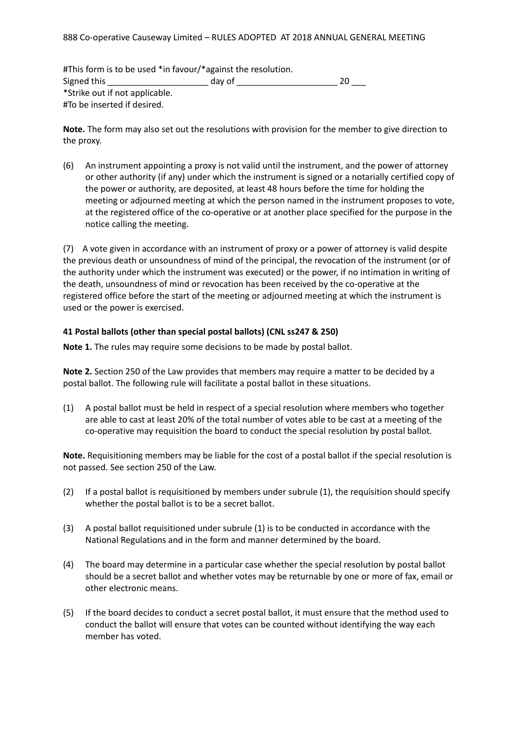#This form is to be used \*in favour/\*against the resolution. Signed this \_\_\_\_\_\_\_\_\_\_\_\_\_\_\_\_\_\_\_\_\_\_\_\_\_\_\_\_ day of \_\_\_\_\_\_\_\_\_\_\_\_\_\_\_\_\_\_\_\_\_\_\_\_\_\_\_\_\_\_\_\_ 20 \_\_\_ \*Strike out if not applicable. #To be inserted if desired.

**Note.** The form may also set out the resolutions with provision for the member to give direction to the proxy.

(6) An instrument appointing a proxy is not valid until the instrument, and the power of attorney or other authority (if any) under which the instrument is signed or a notarially certified copy of the power or authority, are deposited, at least 48 hours before the time for holding the meeting or adjourned meeting at which the person named in the instrument proposes to vote, at the registered office of the co-operative or at another place specified for the purpose in the notice calling the meeting.

(7) A vote given in accordance with an instrument of proxy or a power of attorney is valid despite the previous death or unsoundness of mind of the principal, the revocation of the instrument (or of the authority under which the instrument was executed) or the power, if no intimation in writing of the death, unsoundness of mind or revocation has been received by the co-operative at the registered office before the start of the meeting or adjourned meeting at which the instrument is used or the power is exercised.

#### **41 Postal ballots (other than special postal ballots) (CNL ss247 & 250)**

**Note 1.** The rules may require some decisions to be made by postal ballot.

**Note 2.** Section 250 of the Law provides that members may require a matter to be decided by a postal ballot. The following rule will facilitate a postal ballot in these situations.

(1) A postal ballot must be held in respect of a special resolution where members who together are able to cast at least 20% of the total number of votes able to be cast at a meeting of the co-operative may requisition the board to conduct the special resolution by postal ballot.

**Note.** Requisitioning members may be liable for the cost of a postal ballot if the special resolution is not passed. See section 250 of the Law.

- (2) If a postal ballot is requisitioned by members under subrule (1), the requisition should specify whether the postal ballot is to be a secret ballot.
- (3) A postal ballot requisitioned under subrule (1) is to be conducted in accordance with the National Regulations and in the form and manner determined by the board.
- (4) The board may determine in a particular case whether the special resolution by postal ballot should be a secret ballot and whether votes may be returnable by one or more of fax, email or other electronic means.
- (5) If the board decides to conduct a secret postal ballot, it must ensure that the method used to conduct the ballot will ensure that votes can be counted without identifying the way each member has voted.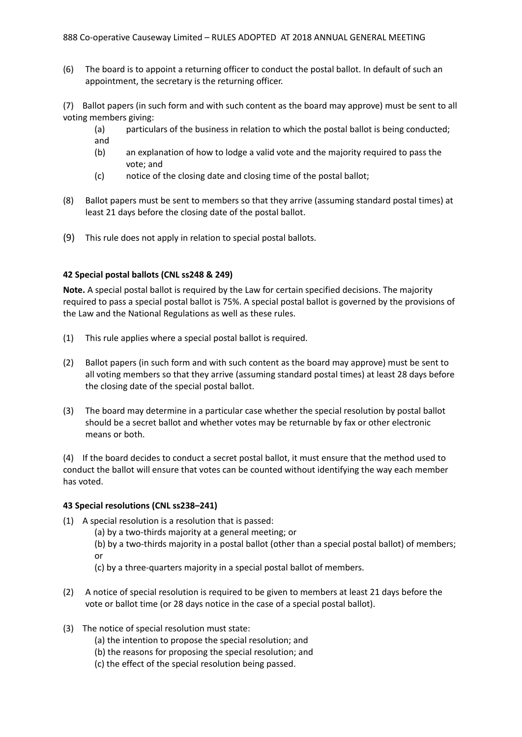(6) The board is to appoint a returning officer to conduct the postal ballot. In default of such an appointment, the secretary is the returning officer.

(7) Ballot papers (in such form and with such content as the board may approve) must be sent to all voting members giving:

- (a) particulars of the business in relation to which the postal ballot is being conducted; and
- (b) an explanation of how to lodge a valid vote and the majority required to pass the vote; and
- (c) notice of the closing date and closing time of the postal ballot;
- (8) Ballot papers must be sent to members so that they arrive (assuming standard postal times) at least 21 days before the closing date of the postal ballot.
- (9) This rule does not apply in relation to special postal ballots.

#### **42 Special postal ballots (CNL ss248 & 249)**

**Note.** A special postal ballot is required by the Law for certain specified decisions. The majority required to pass a special postal ballot is 75%. A special postal ballot is governed by the provisions of the Law and the National Regulations as well as these rules.

- (1) This rule applies where a special postal ballot is required.
- (2) Ballot papers (in such form and with such content as the board may approve) must be sent to all voting members so that they arrive (assuming standard postal times) at least 28 days before the closing date of the special postal ballot.
- (3) The board may determine in a particular case whether the special resolution by postal ballot should be a secret ballot and whether votes may be returnable by fax or other electronic means or both.

(4) If the board decides to conduct a secret postal ballot, it must ensure that the method used to conduct the ballot will ensure that votes can be counted without identifying the way each member has voted.

#### **43 Special resolutions (CNL ss238–241)**

- (1) A special resolution is a resolution that is passed:
	- (a) by a two-thirds majority at a general meeting; or
	- (b) by a two-thirds majority in a postal ballot (other than a special postal ballot) of members; or
	- (c) by a three-quarters majority in a special postal ballot of members.
- (2) A notice of special resolution is required to be given to members at least 21 days before the vote or ballot time (or 28 days notice in the case of a special postal ballot).
- (3) The notice of special resolution must state:
	- (a) the intention to propose the special resolution; and
	- (b) the reasons for proposing the special resolution; and
	- (c) the effect of the special resolution being passed.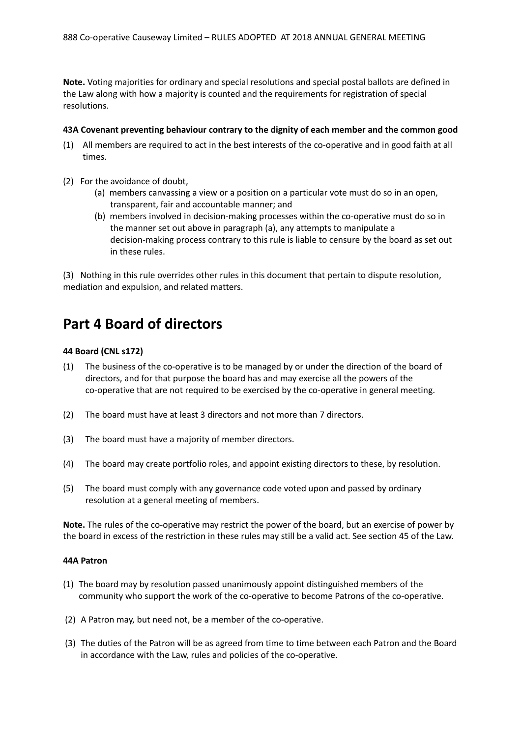**Note.** Voting majorities for ordinary and special resolutions and special postal ballots are defined in the Law along with how a majority is counted and the requirements for registration of special resolutions.

#### **43A Covenant preventing behaviour contrary to the dignity of each member and the common good**

- (1) All members are required to act in the best interests of the co-operative and in good faith at all times.
- (2) For the avoidance of doubt,
	- (a) members canvassing a view or a position on a particular vote must do so in an open, transparent, fair and accountable manner; and
	- (b) members involved in decision-making processes within the co-operative must do so in the manner set out above in paragraph (a), any attempts to manipulate a decision-making process contrary to this rule is liable to censure by the board as set out in these rules.

(3) Nothing in this rule overrides other rules in this document that pertain to dispute resolution, mediation and expulsion, and related matters.

## **Part 4 Board of directors**

#### **44 Board (CNL s172)**

- (1) The business of the co-operative is to be managed by or under the direction of the board of directors, and for that purpose the board has and may exercise all the powers of the co-operative that are not required to be exercised by the co-operative in general meeting.
- (2) The board must have at least 3 directors and not more than 7 directors.
- (3) The board must have a majority of member directors.
- (4) The board may create portfolio roles, and appoint existing directors to these, by resolution.
- (5) The board must comply with any governance code voted upon and passed by ordinary resolution at a general meeting of members.

**Note.** The rules of the co-operative may restrict the power of the board, but an exercise of power by the board in excess of the restriction in these rules may still be a valid act. See section 45 of the Law.

#### **44A Patron**

- (1) The board may by resolution passed unanimously appoint distinguished members of the community who support the work of the co-operative to become Patrons of the co-operative.
- (2) A Patron may, but need not, be a member of the co-operative.
- (3) The duties of the Patron will be as agreed from time to time between each Patron and the Board in accordance with the Law, rules and policies of the co-operative.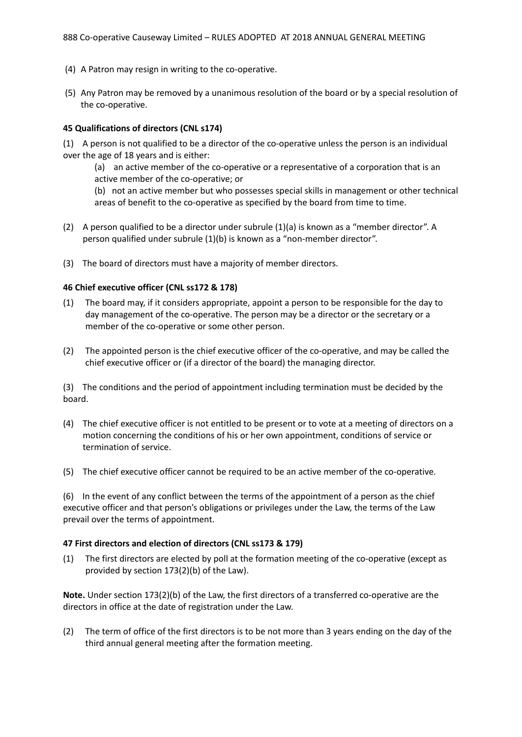- (4) A Patron may resign in writing to the co-operative.
- (5) Any Patron may be removed by a unanimous resolution of the board or by a special resolution of the co-operative.

#### **45 Qualifications of directors (CNL s174)**

(1) A person is not qualified to be a director of the co-operative unless the person is an individual over the age of 18 years and is either:

(a) an active member of the co-operative or a representative of a corporation that is an active member of the co-operative; or

(b) not an active member but who possesses special skills in management or other technical areas of benefit to the co-operative as specified by the board from time to time.

- (2) A person qualified to be a director under subrule (1)(a) is known as a "member director". A person qualified under subrule (1)(b) is known as a "non-member director".
- (3) The board of directors must have a majority of member directors.

#### **46 Chief executive officer (CNL ss172 & 178)**

- (1) The board may, if it considers appropriate, appoint a person to be responsible for the day to day management of the co-operative. The person may be a director or the secretary or a member of the co-operative or some other person.
- (2) The appointed person is the chief executive officer of the co-operative, and may be called the chief executive officer or (if a director of the board) the managing director.

(3) The conditions and the period of appointment including termination must be decided by the board.

- (4) The chief executive officer is not entitled to be present or to vote at a meeting of directors on a motion concerning the conditions of his or her own appointment, conditions of service or termination of service.
- (5) The chief executive officer cannot be required to be an active member of the co-operative.

(6) In the event of any conflict between the terms of the appointment of a person as the chief executive officer and that person's obligations or privileges under the Law, the terms of the Law prevail over the terms of appointment.

#### **47 First directors and election of directors (CNL ss173 & 179)**

(1) The first directors are elected by poll at the formation meeting of the co-operative (except as provided by section 173(2)(b) of the Law).

**Note.** Under section 173(2)(b) of the Law, the first directors of a transferred co-operative are the directors in office at the date of registration under the Law.

(2) The term of office of the first directors is to be not more than 3 years ending on the day of the third annual general meeting after the formation meeting.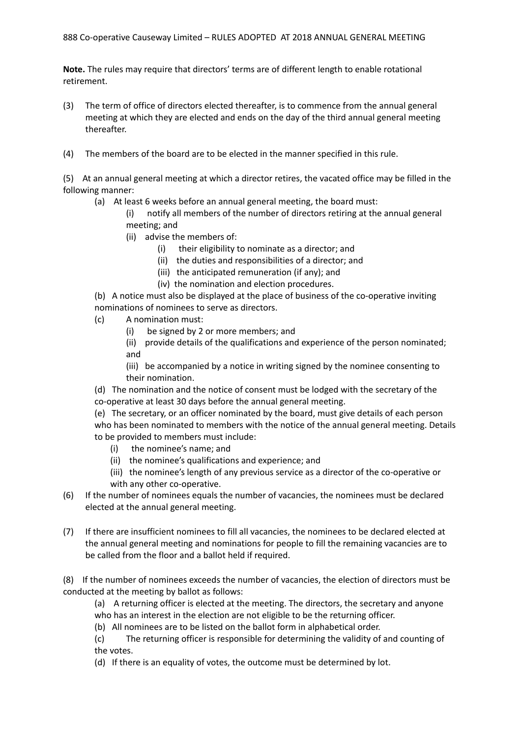**Note.** The rules may require that directors' terms are of different length to enable rotational retirement.

- (3) The term of office of directors elected thereafter, is to commence from the annual general meeting at which they are elected and ends on the day of the third annual general meeting thereafter.
- (4) The members of the board are to be elected in the manner specified in this rule.

(5) At an annual general meeting at which a director retires, the vacated office may be filled in the following manner:

(a) At least 6 weeks before an annual general meeting, the board must:

(i) notify all members of the number of directors retiring at the annual general meeting; and

- (ii) advise the members of:
	- (i) their eligibility to nominate as a director; and
	- (ii) the duties and responsibilities of a director; and
	- (iii) the anticipated remuneration (if any); and
	- (iv) the nomination and election procedures.

(b) A notice must also be displayed at the place of business of the co-operative inviting nominations of nominees to serve as directors.

- (c) A nomination must:
	- (i) be signed by 2 or more members; and
	- (ii) provide details of the qualifications and experience of the person nominated; and

(iii) be accompanied by a notice in writing signed by the nominee consenting to their nomination.

(d) The nomination and the notice of consent must be lodged with the secretary of the co-operative at least 30 days before the annual general meeting.

(e) The secretary, or an officer nominated by the board, must give details of each person who has been nominated to members with the notice of the annual general meeting. Details to be provided to members must include:

- (i) the nominee's name; and
- (ii) the nominee's qualifications and experience; and
- (iii) the nominee's length of any previous service as a director of the co-operative or with any other co-operative.
- (6) If the number of nominees equals the number of vacancies, the nominees must be declared elected at the annual general meeting.
- (7) If there are insufficient nominees to fill all vacancies, the nominees to be declared elected at the annual general meeting and nominations for people to fill the remaining vacancies are to be called from the floor and a ballot held if required.

(8) If the number of nominees exceeds the number of vacancies, the election of directors must be conducted at the meeting by ballot as follows:

(a) A returning officer is elected at the meeting. The directors, the secretary and anyone who has an interest in the election are not eligible to be the returning officer.

(b) All nominees are to be listed on the ballot form in alphabetical order.

(c) The returning officer is responsible for determining the validity of and counting of the votes.

(d) If there is an equality of votes, the outcome must be determined by lot.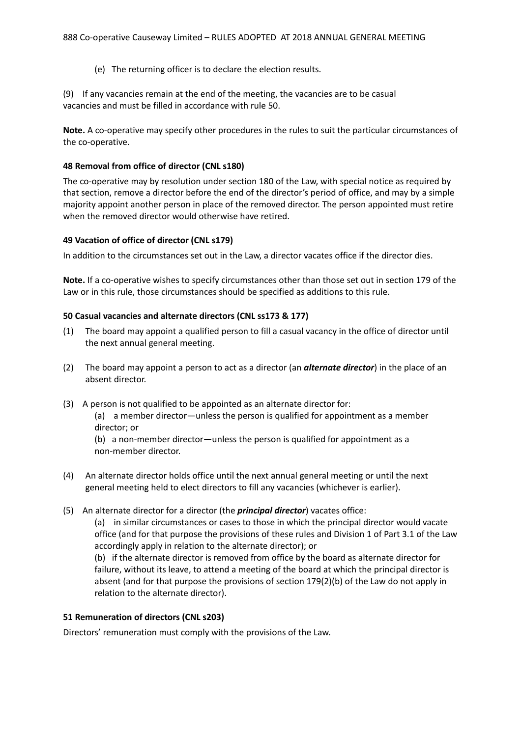(e) The returning officer is to declare the election results.

(9) If any vacancies remain at the end of the meeting, the vacancies are to be casual vacancies and must be filled in accordance with rule 50.

**Note.** A co-operative may specify other procedures in the rules to suit the particular circumstances of the co-operative.

#### **48 Removal from office of director (CNL s180)**

The co-operative may by resolution under section 180 of the Law, with special notice as required by that section, remove a director before the end of the director's period of office, and may by a simple majority appoint another person in place of the removed director. The person appointed must retire when the removed director would otherwise have retired.

#### **49 Vacation of office of director (CNL s179)**

In addition to the circumstances set out in the Law, a director vacates office if the director dies.

**Note.** If a co-operative wishes to specify circumstances other than those set out in section 179 of the Law or in this rule, those circumstances should be specified as additions to this rule.

#### **50 Casual vacancies and alternate directors (CNL ss173 & 177)**

- (1) The board may appoint a qualified person to fill a casual vacancy in the office of director until the next annual general meeting.
- (2) The board may appoint a person to act as a director (an *alternate director*) in the place of an absent director.
- (3) A person is not qualified to be appointed as an alternate director for:

(a) a member director—unless the person is qualified for appointment as a member director; or

(b) a non-member director—unless the person is qualified for appointment as a non-member director.

- (4) An alternate director holds office until the next annual general meeting or until the next general meeting held to elect directors to fill any vacancies (whichever is earlier).
- (5) An alternate director for a director (the *principal director*) vacates office:

(a) in similar circumstances or cases to those in which the principal director would vacate office (and for that purpose the provisions of these rules and Division 1 of Part 3.1 of the Law accordingly apply in relation to the alternate director); or

(b) if the alternate director is removed from office by the board as alternate director for failure, without its leave, to attend a meeting of the board at which the principal director is absent (and for that purpose the provisions of section 179(2)(b) of the Law do not apply in relation to the alternate director).

#### **51 Remuneration of directors (CNL s203)**

Directors' remuneration must comply with the provisions of the Law.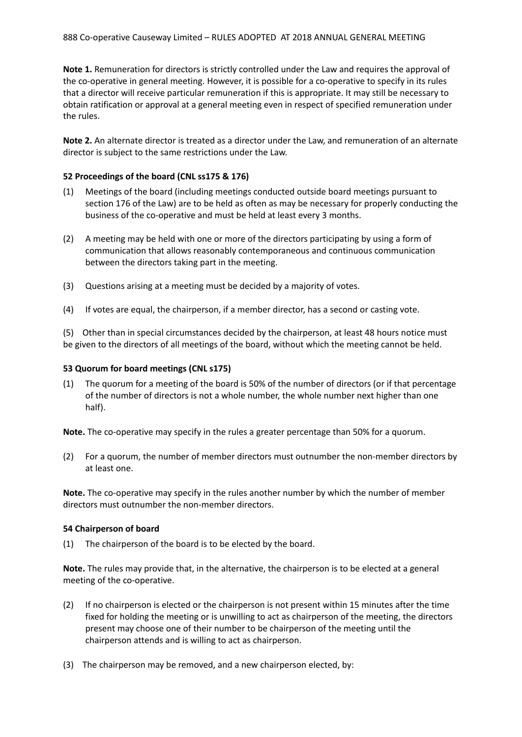**Note 1.** Remuneration for directors is strictly controlled under the Law and requires the approval of the co-operative in general meeting. However, it is possible for a co-operative to specify in its rules that a director will receive particular remuneration if this is appropriate. It may still be necessary to obtain ratification or approval at a general meeting even in respect of specified remuneration under the rules.

**Note 2.** An alternate director is treated as a director under the Law, and remuneration of an alternate director is subject to the same restrictions under the Law.

#### **52 Proceedings of the board (CNL ss175 & 176)**

- (1) Meetings of the board (including meetings conducted outside board meetings pursuant to section 176 of the Law) are to be held as often as may be necessary for properly conducting the business of the co-operative and must be held at least every 3 months.
- (2) A meeting may be held with one or more of the directors participating by using a form of communication that allows reasonably contemporaneous and continuous communication between the directors taking part in the meeting.
- (3) Questions arising at a meeting must be decided by a majority of votes.
- (4) If votes are equal, the chairperson, if a member director, has a second or casting vote.

(5) Other than in special circumstances decided by the chairperson, at least 48 hours notice must be given to the directors of all meetings of the board, without which the meeting cannot be held.

#### **53 Quorum for board meetings (CNL s175)**

(1) The quorum for a meeting of the board is 50% of the number of directors (or if that percentage of the number of directors is not a whole number, the whole number next higher than one half).

**Note.** The co-operative may specify in the rules a greater percentage than 50% for a quorum.

(2) For a quorum, the number of member directors must outnumber the non-member directors by at least one.

**Note.** The co-operative may specify in the rules another number by which the number of member directors must outnumber the non-member directors.

#### **54 Chairperson of board**

(1) The chairperson of the board is to be elected by the board.

**Note.** The rules may provide that, in the alternative, the chairperson is to be elected at a general meeting of the co-operative.

- (2) If no chairperson is elected or the chairperson is not present within 15 minutes after the time fixed for holding the meeting or is unwilling to act as chairperson of the meeting, the directors present may choose one of their number to be chairperson of the meeting until the chairperson attends and is willing to act as chairperson.
- (3) The chairperson may be removed, and a new chairperson elected, by: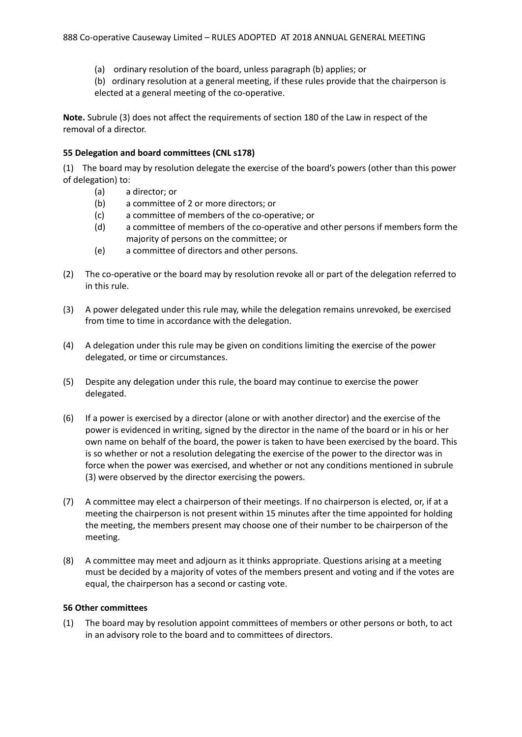- (a) ordinary resolution of the board, unless paragraph (b) applies; or
- (b) ordinary resolution at a general meeting, if these rules provide that the chairperson is elected at a general meeting of the co-operative.

**Note.** Subrule (3) does not affect the requirements of section 180 of the Law in respect of the removal of a director.

#### **55 Delegation and board committees (CNL s178)**

(1) The board may by resolution delegate the exercise of the board's powers (other than this power of delegation) to:

- (a) a director; or
- (b) a committee of 2 or more directors; or
- (c) a committee of members of the co-operative; or
- (d) a committee of members of the co-operative and other persons if members form the majority of persons on the committee; or
- (e) a committee of directors and other persons.
- (2) The co-operative or the board may by resolution revoke all or part of the delegation referred to in this rule.
- (3) A power delegated under this rule may, while the delegation remains unrevoked, be exercised from time to time in accordance with the delegation.
- (4) A delegation under this rule may be given on conditions limiting the exercise of the power delegated, or time or circumstances.
- (5) Despite any delegation under this rule, the board may continue to exercise the power delegated.
- (6) If a power is exercised by a director (alone or with another director) and the exercise of the power is evidenced in writing, signed by the director in the name of the board or in his or her own name on behalf of the board, the power is taken to have been exercised by the board. This is so whether or not a resolution delegating the exercise of the power to the director was in force when the power was exercised, and whether or not any conditions mentioned in subrule (3) were observed by the director exercising the powers.
- (7) A committee may elect a chairperson of their meetings. If no chairperson is elected, or, if at a meeting the chairperson is not present within 15 minutes after the time appointed for holding the meeting, the members present may choose one of their number to be chairperson of the meeting.
- (8) A committee may meet and adjourn as it thinks appropriate. Questions arising at a meeting must be decided by a majority of votes of the members present and voting and if the votes are equal, the chairperson has a second or casting vote.

#### **56 Other committees**

(1) The board may by resolution appoint committees of members or other persons or both, to act in an advisory role to the board and to committees of directors.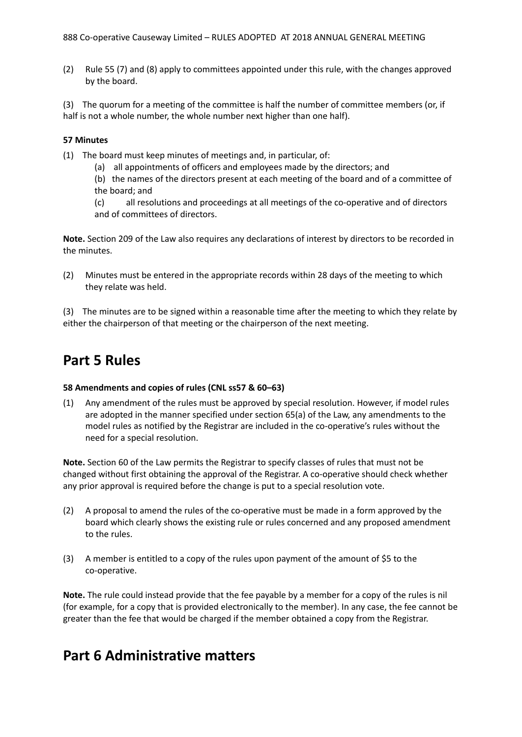(2) Rule 55 (7) and (8) apply to committees appointed under this rule, with the changes approved by the board.

(3) The quorum for a meeting of the committee is half the number of committee members (or, if half is not a whole number, the whole number next higher than one half).

#### **57 Minutes**

- (1) The board must keep minutes of meetings and, in particular, of:
	- (a) all appointments of officers and employees made by the directors; and
	- (b) the names of the directors present at each meeting of the board and of a committee of the board; and
	- (c) all resolutions and proceedings at all meetings of the co-operative and of directors and of committees of directors.

**Note.** Section 209 of the Law also requires any declarations of interest by directors to be recorded in the minutes.

(2) Minutes must be entered in the appropriate records within 28 days of the meeting to which they relate was held.

(3) The minutes are to be signed within a reasonable time after the meeting to which they relate by either the chairperson of that meeting or the chairperson of the next meeting.

## **Part 5 Rules**

#### **58 Amendments and copies of rules (CNL ss57 & 60–63)**

(1) Any amendment of the rules must be approved by special resolution. However, if model rules are adopted in the manner specified under section 65(a) of the Law, any amendments to the model rules as notified by the Registrar are included in the co-operative's rules without the need for a special resolution.

**Note.** Section 60 of the Law permits the Registrar to specify classes of rules that must not be changed without first obtaining the approval of the Registrar. A co-operative should check whether any prior approval is required before the change is put to a special resolution vote.

- (2) A proposal to amend the rules of the co-operative must be made in a form approved by the board which clearly shows the existing rule or rules concerned and any proposed amendment to the rules.
- (3) A member is entitled to a copy of the rules upon payment of the amount of \$5 to the co-operative.

**Note.** The rule could instead provide that the fee payable by a member for a copy of the rules is nil (for example, for a copy that is provided electronically to the member). In any case, the fee cannot be greater than the fee that would be charged if the member obtained a copy from the Registrar.

## **Part 6 Administrative matters**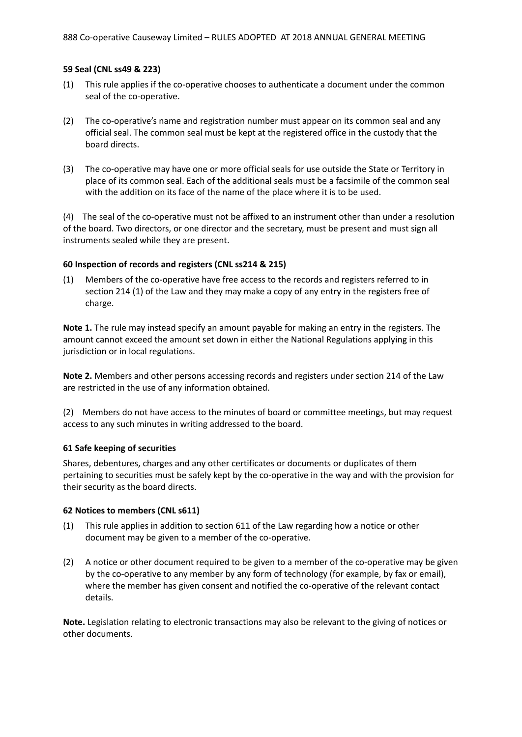#### **59 Seal (CNL ss49 & 223)**

- (1) This rule applies if the co-operative chooses to authenticate a document under the common seal of the co-operative.
- (2) The co-operative's name and registration number must appear on its common seal and any official seal. The common seal must be kept at the registered office in the custody that the board directs.
- (3) The co-operative may have one or more official seals for use outside the State or Territory in place of its common seal. Each of the additional seals must be a facsimile of the common seal with the addition on its face of the name of the place where it is to be used.

(4) The seal of the co-operative must not be affixed to an instrument other than under a resolution of the board. Two directors, or one director and the secretary, must be present and must sign all instruments sealed while they are present.

#### **60 Inspection of records and registers (CNL ss214 & 215)**

(1) Members of the co-operative have free access to the records and registers referred to in section 214 (1) of the Law and they may make a copy of any entry in the registers free of charge.

**Note 1.** The rule may instead specify an amount payable for making an entry in the registers. The amount cannot exceed the amount set down in either the National Regulations applying in this jurisdiction or in local regulations.

**Note 2.** Members and other persons accessing records and registers under section 214 of the Law are restricted in the use of any information obtained.

(2) Members do not have access to the minutes of board or committee meetings, but may request access to any such minutes in writing addressed to the board.

#### **61 Safe keeping of securities**

Shares, debentures, charges and any other certificates or documents or duplicates of them pertaining to securities must be safely kept by the co-operative in the way and with the provision for their security as the board directs.

#### **62 Notices to members (CNL s611)**

- (1) This rule applies in addition to section 611 of the Law regarding how a notice or other document may be given to a member of the co-operative.
- (2) A notice or other document required to be given to a member of the co-operative may be given by the co-operative to any member by any form of technology (for example, by fax or email), where the member has given consent and notified the co-operative of the relevant contact details.

**Note.** Legislation relating to electronic transactions may also be relevant to the giving of notices or other documents.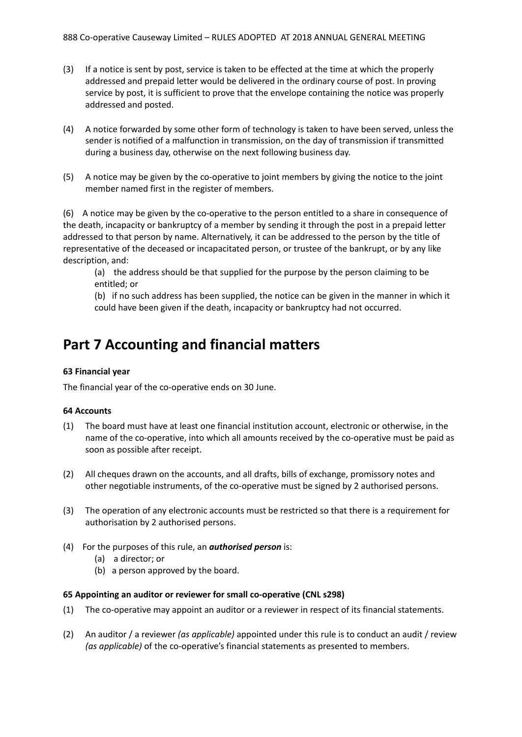- (3) If a notice is sent by post, service is taken to be effected at the time at which the properly addressed and prepaid letter would be delivered in the ordinary course of post. In proving service by post, it is sufficient to prove that the envelope containing the notice was properly addressed and posted.
- (4) A notice forwarded by some other form of technology is taken to have been served, unless the sender is notified of a malfunction in transmission, on the day of transmission if transmitted during a business day, otherwise on the next following business day.
- (5) A notice may be given by the co-operative to joint members by giving the notice to the joint member named first in the register of members.

(6) A notice may be given by the co-operative to the person entitled to a share in consequence of the death, incapacity or bankruptcy of a member by sending it through the post in a prepaid letter addressed to that person by name. Alternatively, it can be addressed to the person by the title of representative of the deceased or incapacitated person, or trustee of the bankrupt, or by any like description, and:

(a) the address should be that supplied for the purpose by the person claiming to be entitled; or

(b) if no such address has been supplied, the notice can be given in the manner in which it could have been given if the death, incapacity or bankruptcy had not occurred.

## **Part 7 Accounting and financial matters**

#### **63 Financial year**

The financial year of the co-operative ends on 30 June.

#### **64 Accounts**

- (1) The board must have at least one financial institution account, electronic or otherwise, in the name of the co-operative, into which all amounts received by the co-operative must be paid as soon as possible after receipt.
- (2) All cheques drawn on the accounts, and all drafts, bills of exchange, promissory notes and other negotiable instruments, of the co-operative must be signed by 2 authorised persons.
- (3) The operation of any electronic accounts must be restricted so that there is a requirement for authorisation by 2 authorised persons.
- (4) For the purposes of this rule, an *authorised person* is:
	- (a) a director; or
	- (b) a person approved by the board.

#### **65 Appointing an auditor or reviewer for small co-operative (CNL s298)**

- (1) The co-operative may appoint an auditor or a reviewer in respect of its financial statements.
- (2) An auditor / a reviewer *(as applicable)* appointed under this rule is to conduct an audit / review *(as applicable)* of the co-operative's financial statements as presented to members.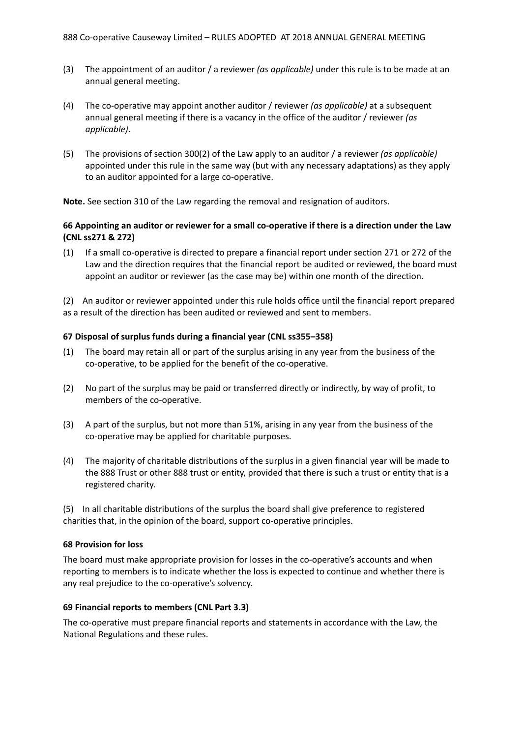- (3) The appointment of an auditor / a reviewer *(as applicable)* under this rule is to be made at an annual general meeting.
- (4) The co-operative may appoint another auditor / reviewer *(as applicable)* at a subsequent annual general meeting if there is a vacancy in the office of the auditor / reviewer *(as applicable)*.
- (5) The provisions of section 300(2) of the Law apply to an auditor / a reviewer *(as applicable)* appointed under this rule in the same way (but with any necessary adaptations) as they apply to an auditor appointed for a large co-operative.

**Note.** See section 310 of the Law regarding the removal and resignation of auditors.

### 66 Appointing an auditor or reviewer for a small co-operative if there is a direction under the Law **(CNL ss271 & 272)**

(1) If a small co-operative is directed to prepare a financial report under section 271 or 272 of the Law and the direction requires that the financial report be audited or reviewed, the board must appoint an auditor or reviewer (as the case may be) within one month of the direction.

(2) An auditor or reviewer appointed under this rule holds office until the financial report prepared as a result of the direction has been audited or reviewed and sent to members.

#### **67 Disposal of surplus funds during a financial year (CNL ss355–358)**

- (1) The board may retain all or part of the surplus arising in any year from the business of the co-operative, to be applied for the benefit of the co-operative.
- (2) No part of the surplus may be paid or transferred directly or indirectly, by way of profit, to members of the co-operative.
- (3) A part of the surplus, but not more than 51%, arising in any year from the business of the co-operative may be applied for charitable purposes.
- (4) The majority of charitable distributions of the surplus in a given financial year will be made to the 888 Trust or other 888 trust or entity, provided that there is such a trust or entity that is a registered charity.

(5) In all charitable distributions of the surplus the board shall give preference to registered charities that, in the opinion of the board, support co-operative principles.

#### **68 Provision for loss**

The board must make appropriate provision for losses in the co-operative's accounts and when reporting to members is to indicate whether the loss is expected to continue and whether there is any real prejudice to the co-operative's solvency.

#### **69 Financial reports to members (CNL Part 3.3)**

The co-operative must prepare financial reports and statements in accordance with the Law, the National Regulations and these rules.